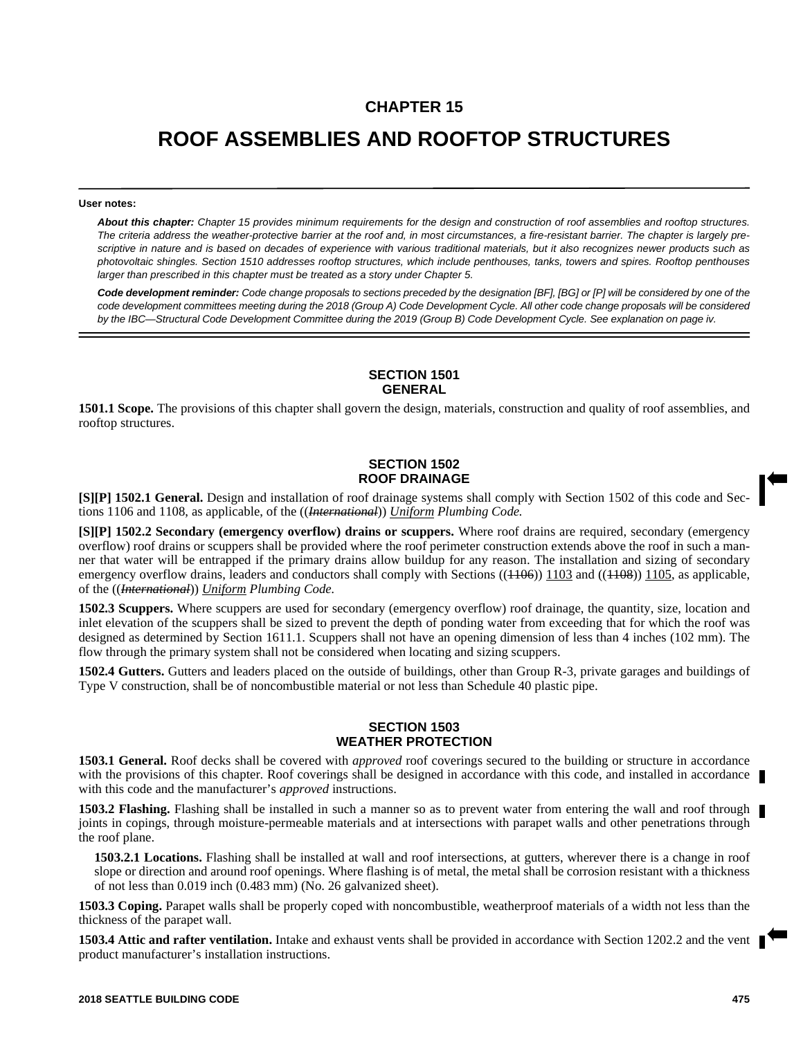## **CHAPTER 15**

# **ROOF ASSEMBLIES AND ROOFTOP STRUCTURES**

#### **User notes:**

*About this chapter: Chapter 15 provides minimum requirements for the design and construction of roof assemblies and rooftop structures. The criteria address the weather-protective barrier at the roof and, in most circumstances, a fire-resistant barrier. The chapter is largely prescriptive in nature and is based on decades of experience with various traditional materials, but it also recognizes newer products such as photovoltaic shingles. Section 1510 addresses rooftop structures, which include penthouses, tanks, towers and spires. Rooftop penthouses larger than prescribed in this chapter must be treated as a story under Chapter 5.*

*Code development reminder: Code change proposals to sections preceded by the designation [BF], [BG] or [P] will be considered by one of the code development committees meeting during the 2018 (Group A) Code Development Cycle. All other code change proposals will be considered by the IBC—Structural Code Development Committee during the 2019 (Group B) Code Development Cycle. See explanation on page iv.*

## **SECTION 1501 GENERAL**

**1501.1 Scope.** The provisions of this chapter shall govern the design, materials, construction and quality of roof assemblies, and rooftop structures.

## **SECTION 1502 ROOF DRAINAGE**

**[S][P] 1502.1 General.** Design and installation of roof drainage systems shall comply with Section 1502 of this code and Sections 1106 and 1108, as applicable, of the ((*International*)) *Uniform Plumbing Code.*

**[S][P] 1502.2 Secondary (emergency overflow) drains or scuppers.** Where roof drains are required, secondary (emergency overflow) roof drains or scuppers shall be provided where the roof perimeter construction extends above the roof in such a manner that water will be entrapped if the primary drains allow buildup for any reason. The installation and sizing of secondary emergency overflow drains, leaders and conductors shall comply with Sections  $((1.106))$  1103 and  $((1.108))$  1105, as applicable, of the ((*International*)) *Uniform Plumbing Code.*

**1502.3 Scuppers.** Where scuppers are used for secondary (emergency overflow) roof drainage, the quantity, size, location and inlet elevation of the scuppers shall be sized to prevent the depth of ponding water from exceeding that for which the roof was designed as determined by Section 1611.1. Scuppers shall not have an opening dimension of less than 4 inches (102 mm). The flow through the primary system shall not be considered when locating and sizing scuppers.

**1502.4 Gutters.** Gutters and leaders placed on the outside of buildings, other than Group R-3, private garages and buildings of Type V construction, shall be of noncombustible material or not less than Schedule 40 plastic pipe.

## **SECTION 1503 WEATHER PROTECTION**

**1503.1 General.** Roof decks shall be covered with *approved* roof coverings secured to the building or structure in accordance with the provisions of this chapter. Roof coverings shall be designed in accordance with this code, and installed in accordance with this code and the manufacturer's *approved* instructions.

**1503.2 Flashing.** Flashing shall be installed in such a manner so as to prevent water from entering the wall and roof through joints in copings, through moisture-permeable materials and at intersections with parapet walls and other penetrations through the roof plane.

**1503.2.1 Locations.** Flashing shall be installed at wall and roof intersections, at gutters, wherever there is a change in roof slope or direction and around roof openings. Where flashing is of metal, the metal shall be corrosion resistant with a thickness of not less than 0.019 inch (0.483 mm) (No. 26 galvanized sheet).

**1503.3 Coping.** Parapet walls shall be properly coped with noncombustible, weatherproof materials of a width not less than the thickness of the parapet wall.

**1503.4 Attic and rafter ventilation.** Intake and exhaust vents shall be provided in accordance with Section 1202.2 and the vent product manufacturer's installation instructions.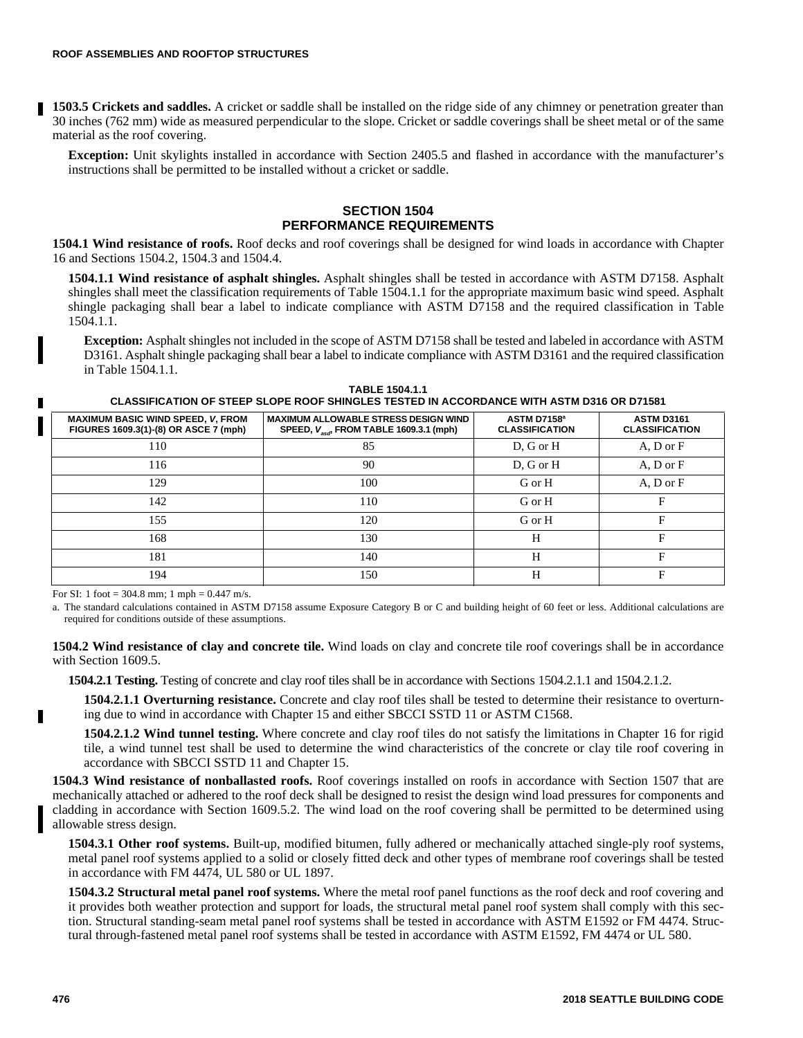**1503.5 Crickets and saddles.** A cricket or saddle shall be installed on the ridge side of any chimney or penetration greater than 30 inches (762 mm) wide as measured perpendicular to the slope. Cricket or saddle coverings shall be sheet metal or of the same material as the roof covering.

**Exception:** Unit skylights installed in accordance with Section 2405.5 and flashed in accordance with the manufacturer's instructions shall be permitted to be installed without a cricket or saddle.

## **SECTION 1504 PERFORMANCE REQUIREMENTS**

**1504.1 Wind resistance of roofs.** Roof decks and roof coverings shall be designed for wind loads in accordance with Chapter 16 and Sections 1504.2, 1504.3 and 1504.4.

**1504.1.1 Wind resistance of asphalt shingles.** Asphalt shingles shall be tested in accordance with ASTM D7158. Asphalt shingles shall meet the classification requirements of Table 1504.1.1 for the appropriate maximum basic wind speed. Asphalt shingle packaging shall bear a label to indicate compliance with ASTM D7158 and the required classification in Table 1504.1.1.

**Exception:** Asphalt shingles not included in the scope of ASTM D7158 shall be tested and labeled in accordance with ASTM D3161. Asphalt shingle packaging shall bear a label to indicate compliance with ASTM D3161 and the required classification in Table 1504.1.1.

**TABLE 1504.1.1 CLASSIFICATION OF STEEP SLOPE ROOF SHINGLES TESTED IN ACCORDANCE WITH ASTM D316 OR D71581**

| <b>MAXIMUM BASIC WIND SPEED, V, FROM</b><br>FIGURES 1609.3(1)-(8) OR ASCE 7 (mph) | <b>MAXIMUM ALLOWABLE STRESS DESIGN WIND</b><br>SPEED, $V_{\text{act}}$ FROM TABLE 1609.3.1 (mph) | ASTM D7158 <sup>a</sup><br><b>CLASSIFICATION</b> | <b>ASTM D3161</b><br><b>CLASSIFICATION</b> |
|-----------------------------------------------------------------------------------|--------------------------------------------------------------------------------------------------|--------------------------------------------------|--------------------------------------------|
| 110                                                                               | 85                                                                                               | $D, G$ or $H$                                    | $A, D$ or $F$                              |
| 116                                                                               | 90                                                                                               | $D, G$ or $H$                                    | A, D or F                                  |
| 129                                                                               | 100                                                                                              | G or H                                           | A, D or F                                  |
| 142                                                                               | 110                                                                                              | G or H                                           | F                                          |
| 155                                                                               | 120                                                                                              | G or H                                           | F                                          |
| 168                                                                               | 130                                                                                              | H                                                | Е                                          |
| 181                                                                               | 140                                                                                              | Н                                                | Е                                          |
| 194                                                                               | 150                                                                                              | H                                                | F                                          |

For SI: 1 foot = 304.8 mm; 1 mph =  $0.447$  m/s.

a. The standard calculations contained in ASTM D7158 assume Exposure Category B or C and building height of 60 feet or less. Additional calculations are required for conditions outside of these assumptions.

**1504.2 Wind resistance of clay and concrete tile.** Wind loads on clay and concrete tile roof coverings shall be in accordance with Section 1609.5.

**1504.2.1 Testing.** Testing of concrete and clay roof tiles shall be in accordance with Sections 1504.2.1.1 and 1504.2.1.2.

**1504.2.1.1 Overturning resistance.** Concrete and clay roof tiles shall be tested to determine their resistance to overturning due to wind in accordance with Chapter 15 and either SBCCI SSTD 11 or ASTM C1568.

**1504.2.1.2 Wind tunnel testing.** Where concrete and clay roof tiles do not satisfy the limitations in Chapter 16 for rigid tile, a wind tunnel test shall be used to determine the wind characteristics of the concrete or clay tile roof covering in accordance with SBCCI SSTD 11 and Chapter 15.

**1504.3 Wind resistance of nonballasted roofs.** Roof coverings installed on roofs in accordance with Section 1507 that are mechanically attached or adhered to the roof deck shall be designed to resist the design wind load pressures for components and cladding in accordance with Section 1609.5.2. The wind load on the roof covering shall be permitted to be determined using allowable stress design.

**1504.3.1 Other roof systems.** Built-up, modified bitumen, fully adhered or mechanically attached single-ply roof systems, metal panel roof systems applied to a solid or closely fitted deck and other types of membrane roof coverings shall be tested in accordance with FM 4474, UL 580 or UL 1897.

**1504.3.2 Structural metal panel roof systems.** Where the metal roof panel functions as the roof deck and roof covering and it provides both weather protection and support for loads, the structural metal panel roof system shall comply with this section. Structural standing-seam metal panel roof systems shall be tested in accordance with ASTM E1592 or FM 4474. Structural through-fastened metal panel roof systems shall be tested in accordance with ASTM E1592, FM 4474 or UL 580.

П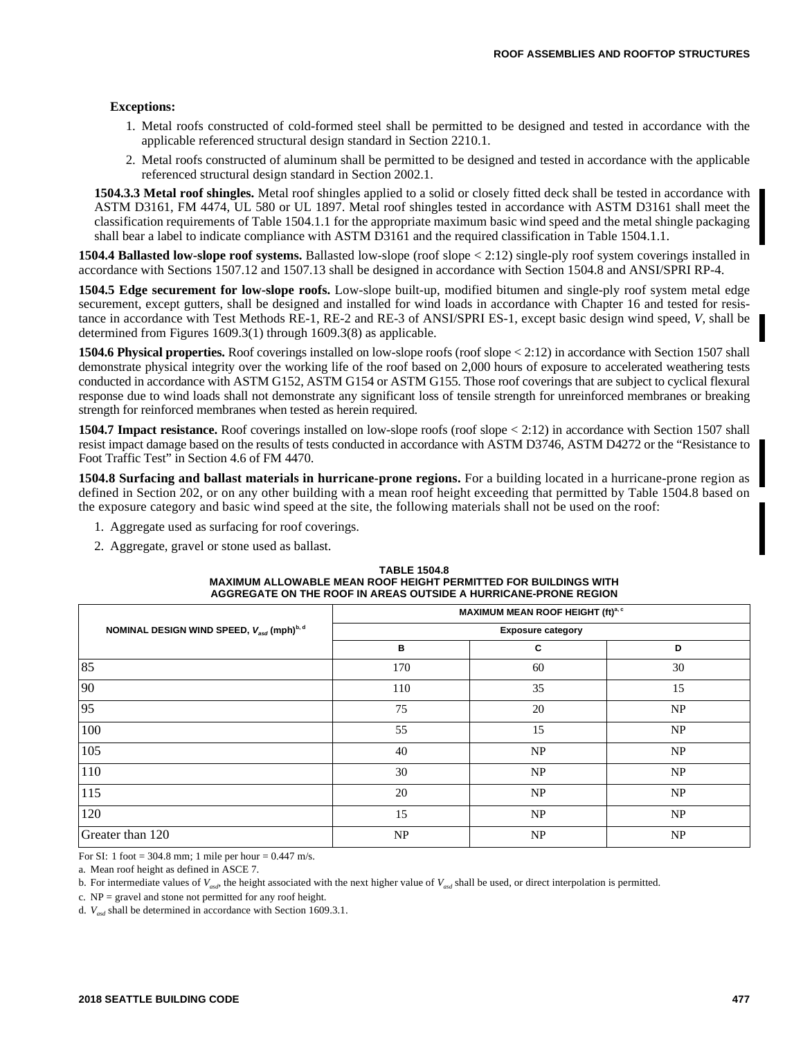#### **Exceptions:**

- 1. Metal roofs constructed of cold-formed steel shall be permitted to be designed and tested in accordance with the applicable referenced structural design standard in Section 2210.1.
- 2. Metal roofs constructed of aluminum shall be permitted to be designed and tested in accordance with the applicable referenced structural design standard in Section 2002.1.

**1504.3.3 Metal roof shingles.** Metal roof shingles applied to a solid or closely fitted deck shall be tested in accordance with ASTM D3161, FM 4474, UL 580 or UL 1897. Metal roof shingles tested in accordance with ASTM D3161 shall meet the classification requirements of Table 1504.1.1 for the appropriate maximum basic wind speed and the metal shingle packaging shall bear a label to indicate compliance with ASTM D3161 and the required classification in Table 1504.1.1.

**1504.4 Ballasted low-slope roof systems.** Ballasted low-slope (roof slope < 2:12) single-ply roof system coverings installed in accordance with Sections 1507.12 and 1507.13 shall be designed in accordance with Section 1504.8 and ANSI/SPRI RP-4.

**1504.5 Edge securement for low-slope roofs.** Low-slope built-up, modified bitumen and single-ply roof system metal edge securement, except gutters, shall be designed and installed for wind loads in accordance with Chapter 16 and tested for resistance in accordance with Test Methods RE-1, RE-2 and RE-3 of ANSI/SPRI ES-1, except basic design wind speed, *V*, shall be determined from Figures 1609.3(1) through 1609.3(8) as applicable.

**1504.6 Physical properties.** Roof coverings installed on low-slope roofs (roof slope  $\lt$  2:12) in accordance with Section 1507 shall demonstrate physical integrity over the working life of the roof based on 2,000 hours of exposure to accelerated weathering tests conducted in accordance with ASTM G152, ASTM G154 or ASTM G155. Those roof coverings that are subject to cyclical flexural response due to wind loads shall not demonstrate any significant loss of tensile strength for unreinforced membranes or breaking strength for reinforced membranes when tested as herein required.

**1504.7 Impact resistance.** Roof coverings installed on low-slope roofs (roof slope < 2:12) in accordance with Section 1507 shall resist impact damage based on the results of tests conducted in accordance with ASTM D3746, ASTM D4272 or the "Resistance to Foot Traffic Test" in Section 4.6 of FM 4470.

**1504.8 Surfacing and ballast materials in hurricane-prone regions.** For a building located in a hurricane-prone region as defined in Section 202, or on any other building with a mean roof height exceeding that permitted by Table 1504.8 based on the exposure category and basic wind speed at the site, the following materials shall not be used on the roof:

- 1. Aggregate used as surfacing for roof coverings.
- 2. Aggregate, gravel or stone used as ballast.

| <b>TABLE 1504.8</b>                                             |
|-----------------------------------------------------------------|
| MAXIMUM ALLOWABLE MEAN ROOF HEIGHT PERMITTED FOR BUILDINGS WITH |
| AGGREGATE ON THE ROOF IN AREAS OUTSIDE A HURRICANE-PRONE REGION |

|                                           | MAXIMUM MEAN ROOF HEIGHT (ft) <sup>a, c</sup> |    |    |  |  |  |
|-------------------------------------------|-----------------------------------------------|----|----|--|--|--|
| NOMINAL DESIGN WIND SPEED, Vasa (mph)b, d | <b>Exposure category</b>                      |    |    |  |  |  |
|                                           | в                                             | C  | D  |  |  |  |
| 85                                        | 170                                           | 60 | 30 |  |  |  |
| 90                                        | 110                                           | 35 | 15 |  |  |  |
| 95                                        | 75                                            | 20 | NP |  |  |  |
| 100                                       | 55                                            | 15 | NP |  |  |  |
| 105                                       | 40                                            | NP | NP |  |  |  |
| 110                                       | 30                                            | NP | NP |  |  |  |
| 115                                       | 20                                            | NP | NP |  |  |  |
| 120                                       | 15                                            | NP | NP |  |  |  |
| Greater than 120                          | NP                                            | NP | NP |  |  |  |

For SI: 1 foot = 304.8 mm; 1 mile per hour =  $0.447$  m/s.

a. Mean roof height as defined in ASCE 7.

b. For intermediate values of  $V_{\alpha \nu l}$ , the height associated with the next higher value of  $V_{\alpha \nu l}$  shall be used, or direct interpolation is permitted.

c. NP = gravel and stone not permitted for any roof height.

d. *Vasd* shall be determined in accordance with Section 1609.3.1.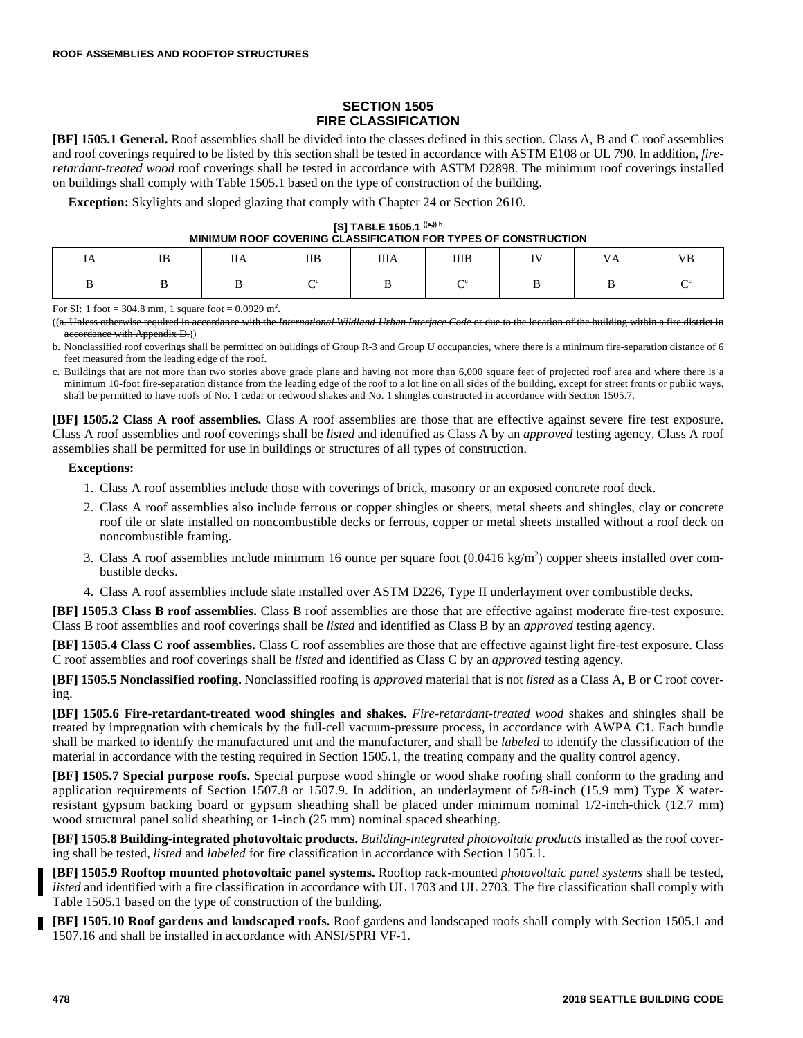## **SECTION 1505 FIRE CLASSIFICATION**

**[BF] 1505.1 General.** Roof assemblies shall be divided into the classes defined in this section. Class A, B and C roof assemblies and roof coverings required to be listed by this section shall be tested in accordance with ASTM E108 or UL 790. In addition, *fireretardant-treated wood* roof coverings shall be tested in accordance with ASTM D2898. The minimum roof coverings installed on buildings shall comply with Table 1505.1 based on the type of construction of the building.

**Exception:** Skylights and sloped glazing that comply with Chapter 24 or Section 2610.

| [S] TABLE 1505.1 $((a_i))^b$                                   |
|----------------------------------------------------------------|
| MINIMUM ROOF COVERING CLASSIFICATION FOR TYPES OF CONSTRUCTION |

| 1A | $\rm IB$ | $\rm IIA$ | $\rm IIB$ | <b>IIIA</b> | $\rm IIIB$ | $\mathbf{I}$ | VA | VB |
|----|----------|-----------|-----------|-------------|------------|--------------|----|----|
|    |          |           |           |             |            |              |    |    |

For SI: 1 foot = 304.8 mm, 1 square foot =  $0.0929$  m<sup>2</sup>.

((a. Unless otherwise required in accordance with the *International Wildland-Urban Interface Code* or due to the location of the building within a fire district in accordance with Appendix D.))

b. Nonclassified roof coverings shall be permitted on buildings of Group R-3 and Group U occupancies, where there is a minimum fire-separation distance of 6 feet measured from the leading edge of the roof.

c. Buildings that are not more than two stories above grade plane and having not more than 6,000 square feet of projected roof area and where there is a minimum 10-foot fire-separation distance from the leading edge of the roof to a lot line on all sides of the building, except for street fronts or public ways, shall be permitted to have roofs of No. 1 cedar or redwood shakes and No. 1 shingles constructed in accordance with Section 1505.7.

**[BF] 1505.2 Class A roof assemblies.** Class A roof assemblies are those that are effective against severe fire test exposure. Class A roof assemblies and roof coverings shall be *listed* and identified as Class A by an *approved* testing agency. Class A roof assemblies shall be permitted for use in buildings or structures of all types of construction.

## **Exceptions:**

- 1. Class A roof assemblies include those with coverings of brick, masonry or an exposed concrete roof deck.
- 2. Class A roof assemblies also include ferrous or copper shingles or sheets, metal sheets and shingles, clay or concrete roof tile or slate installed on noncombustible decks or ferrous, copper or metal sheets installed without a roof deck on noncombustible framing.
- 3. Class A roof assemblies include minimum 16 ounce per square foot  $(0.0416 \text{ kg/m}^2)$  copper sheets installed over combustible decks.
- 4. Class A roof assemblies include slate installed over ASTM D226, Type II underlayment over combustible decks.

**[BF] 1505.3 Class B roof assemblies.** Class B roof assemblies are those that are effective against moderate fire-test exposure. Class B roof assemblies and roof coverings shall be *listed* and identified as Class B by an *approved* testing agency.

**[BF] 1505.4 Class C roof assemblies.** Class C roof assemblies are those that are effective against light fire-test exposure. Class C roof assemblies and roof coverings shall be *listed* and identified as Class C by an *approved* testing agency.

**[BF] 1505.5 Nonclassified roofing.** Nonclassified roofing is *approved* material that is not *listed* as a Class A, B or C roof covering.

**[BF] 1505.6 Fire-retardant-treated wood shingles and shakes.** *Fire-retardant-treated wood* shakes and shingles shall be treated by impregnation with chemicals by the full-cell vacuum-pressure process, in accordance with AWPA C1. Each bundle shall be marked to identify the manufactured unit and the manufacturer, and shall be *labeled* to identify the classification of the material in accordance with the testing required in Section 1505.1, the treating company and the quality control agency.

**[BF] 1505.7 Special purpose roofs.** Special purpose wood shingle or wood shake roofing shall conform to the grading and application requirements of Section 1507.8 or 1507.9. In addition, an underlayment of 5/8-inch (15.9 mm) Type X waterresistant gypsum backing board or gypsum sheathing shall be placed under minimum nominal 1/2-inch-thick (12.7 mm) wood structural panel solid sheathing or 1-inch (25 mm) nominal spaced sheathing.

**[BF] 1505.8 Building-integrated photovoltaic products.** *Building-integrated photovoltaic products* installed as the roof covering shall be tested, *listed* and *labeled* for fire classification in accordance with Section 1505.1.

**[BF] 1505.9 Rooftop mounted photovoltaic panel systems.** Rooftop rack-mounted *photovoltaic panel systems* shall be tested, *listed* and identified with a fire classification in accordance with UL 1703 and UL 2703. The fire classification shall comply with Table 1505.1 based on the type of construction of the building.

**[BF] 1505.10 Roof gardens and landscaped roofs.** Roof gardens and landscaped roofs shall comply with Section 1505.1 and 1507.16 and shall be installed in accordance with ANSI/SPRI VF-1.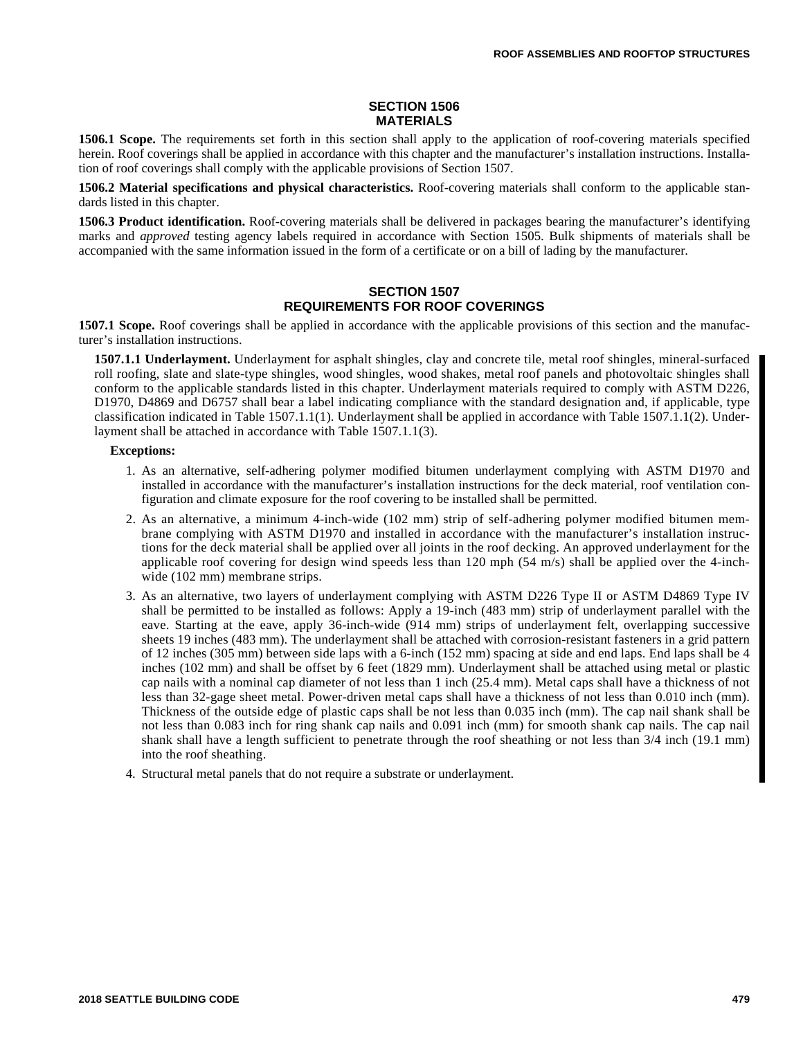## **SECTION 1506 MATERIALS**

**1506.1 Scope.** The requirements set forth in this section shall apply to the application of roof-covering materials specified herein. Roof coverings shall be applied in accordance with this chapter and the manufacturer's installation instructions. Installation of roof coverings shall comply with the applicable provisions of Section 1507.

**1506.2 Material specifications and physical characteristics.** Roof-covering materials shall conform to the applicable standards listed in this chapter.

**1506.3 Product identification.** Roof-covering materials shall be delivered in packages bearing the manufacturer's identifying marks and *approved* testing agency labels required in accordance with Section 1505. Bulk shipments of materials shall be accompanied with the same information issued in the form of a certificate or on a bill of lading by the manufacturer.

## **SECTION 1507 REQUIREMENTS FOR ROOF COVERINGS**

**1507.1 Scope.** Roof coverings shall be applied in accordance with the applicable provisions of this section and the manufacturer's installation instructions.

**1507.1.1 Underlayment.** Underlayment for asphalt shingles, clay and concrete tile, metal roof shingles, mineral-surfaced roll roofing, slate and slate-type shingles, wood shingles, wood shakes, metal roof panels and photovoltaic shingles shall conform to the applicable standards listed in this chapter. Underlayment materials required to comply with ASTM D226, D1970, D4869 and D6757 shall bear a label indicating compliance with the standard designation and, if applicable, type classification indicated in Table 1507.1.1(1). Underlayment shall be applied in accordance with Table 1507.1.1(2). Underlayment shall be attached in accordance with Table 1507.1.1(3).

## **Exceptions:**

- 1. As an alternative, self-adhering polymer modified bitumen underlayment complying with ASTM D1970 and installed in accordance with the manufacturer's installation instructions for the deck material, roof ventilation configuration and climate exposure for the roof covering to be installed shall be permitted.
- 2. As an alternative, a minimum 4-inch-wide (102 mm) strip of self-adhering polymer modified bitumen membrane complying with ASTM D1970 and installed in accordance with the manufacturer's installation instructions for the deck material shall be applied over all joints in the roof decking. An approved underlayment for the applicable roof covering for design wind speeds less than  $120$  mph  $(54 \text{ m/s})$  shall be applied over the 4-inchwide (102 mm) membrane strips.
- 3. As an alternative, two layers of underlayment complying with ASTM D226 Type II or ASTM D4869 Type IV shall be permitted to be installed as follows: Apply a 19-inch (483 mm) strip of underlayment parallel with the eave. Starting at the eave, apply 36-inch-wide (914 mm) strips of underlayment felt, overlapping successive sheets 19 inches (483 mm). The underlayment shall be attached with corrosion-resistant fasteners in a grid pattern of 12 inches (305 mm) between side laps with a 6-inch (152 mm) spacing at side and end laps. End laps shall be 4 inches (102 mm) and shall be offset by 6 feet (1829 mm). Underlayment shall be attached using metal or plastic cap nails with a nominal cap diameter of not less than 1 inch (25.4 mm). Metal caps shall have a thickness of not less than 32-gage sheet metal. Power-driven metal caps shall have a thickness of not less than 0.010 inch (mm). Thickness of the outside edge of plastic caps shall be not less than 0.035 inch (mm). The cap nail shank shall be not less than 0.083 inch for ring shank cap nails and 0.091 inch (mm) for smooth shank cap nails. The cap nail shank shall have a length sufficient to penetrate through the roof sheathing or not less than 3/4 inch (19.1 mm) into the roof sheathing.
- 4. Structural metal panels that do not require a substrate or underlayment.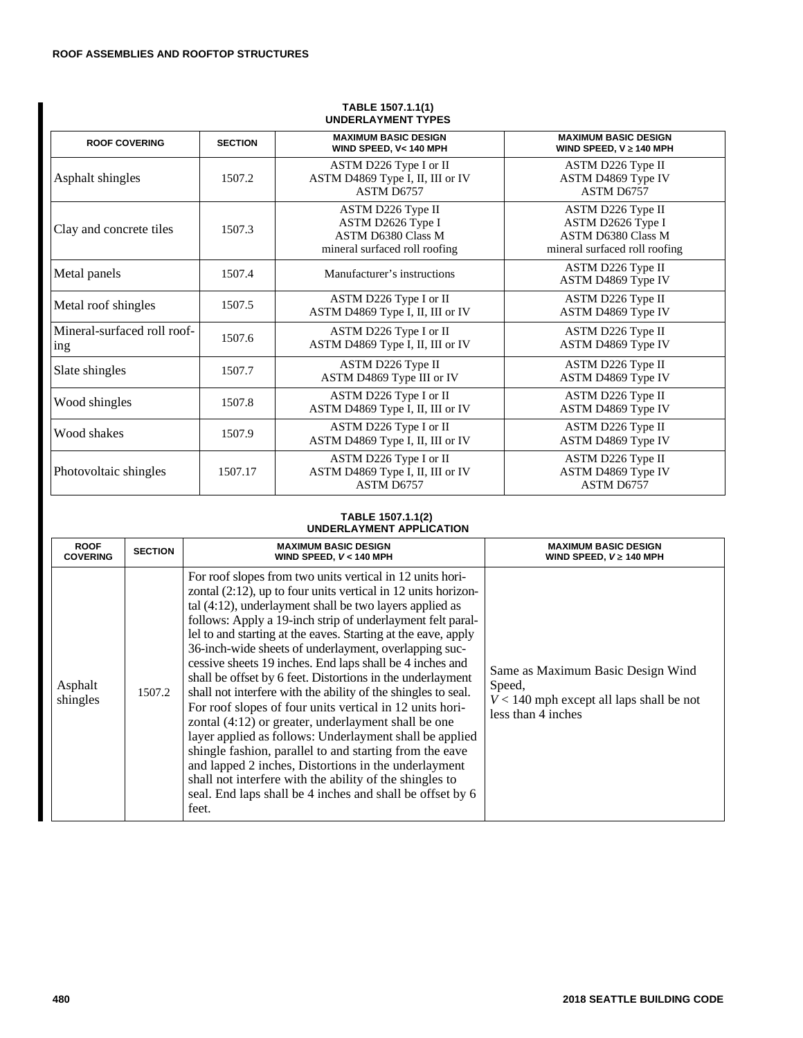| <b>UNDERLAIMENI IIFEJ</b>          |                |                                                                                                      |                                                                                                      |  |
|------------------------------------|----------------|------------------------------------------------------------------------------------------------------|------------------------------------------------------------------------------------------------------|--|
| <b>ROOF COVERING</b>               | <b>SECTION</b> | <b>MAXIMUM BASIC DESIGN</b><br>WIND SPEED, V< 140 MPH                                                | <b>MAXIMUM BASIC DESIGN</b><br>WIND SPEED, $V \ge 140$ MPH                                           |  |
| Asphalt shingles                   | 1507.2         | ASTM D226 Type I or II<br>ASTM D4869 Type I, II, III or IV<br>ASTM D6757                             | ASTM D226 Type II<br>ASTM D4869 Type IV<br>ASTM D6757                                                |  |
| Clay and concrete tiles            | 1507.3         | ASTM D226 Type II<br>ASTM D2626 Type I<br><b>ASTM D6380 Class M</b><br>mineral surfaced roll roofing | ASTM D226 Type II<br>ASTM D2626 Type I<br><b>ASTM D6380 Class M</b><br>mineral surfaced roll roofing |  |
| Metal panels                       | 1507.4         | Manufacturer's instructions                                                                          | ASTM D226 Type II<br>ASTM D4869 Type IV                                                              |  |
| Metal roof shingles                | 1507.5         | ASTM D226 Type I or II<br>ASTM D4869 Type I, II, III or IV                                           | ASTM D226 Type II<br>ASTM D4869 Type IV                                                              |  |
| Mineral-surfaced roll roof-<br>ing | 1507.6         | ASTM D226 Type I or II<br>ASTM D4869 Type I, II, III or IV                                           | ASTM D226 Type II<br>ASTM D4869 Type IV                                                              |  |
| Slate shingles                     | 1507.7         | ASTM D226 Type II<br>ASTM D4869 Type III or IV                                                       | ASTM D226 Type II<br>ASTM D4869 Type IV                                                              |  |
| Wood shingles                      | 1507.8         | ASTM D226 Type I or II<br>ASTM D4869 Type I, II, III or IV                                           | ASTM D226 Type II<br>ASTM D4869 Type IV                                                              |  |
| Wood shakes                        | 1507.9         | ASTM D226 Type I or II<br>ASTM D4869 Type I, II, III or IV                                           | ASTM D226 Type II<br>ASTM D4869 Type IV                                                              |  |
| Photovoltaic shingles              | 1507.17        | ASTM D226 Type I or II<br>ASTM D4869 Type I, II, III or IV<br>ASTM D6757                             | ASTM D226 Type II<br>ASTM D4869 Type IV<br>ASTM D6757                                                |  |

#### **TABLE 1507.1.1(1) UNDERLAYMENT TYPES**

#### **TABLE 1507.1.1(2) UNDERLAYMENT APPLICATION**

| <b>ROOF</b>         | <b>SECTION</b> | <b>MAXIMUM BASIC DESIGN</b>                                                                                                                                                                                                                                                                                                                                                                                                                                                                                                                                                                                                                                                                                                                                                                                                                                                                                                                                                                                      | <b>MAXIMUM BASIC DESIGN</b>                                                                                     |
|---------------------|----------------|------------------------------------------------------------------------------------------------------------------------------------------------------------------------------------------------------------------------------------------------------------------------------------------------------------------------------------------------------------------------------------------------------------------------------------------------------------------------------------------------------------------------------------------------------------------------------------------------------------------------------------------------------------------------------------------------------------------------------------------------------------------------------------------------------------------------------------------------------------------------------------------------------------------------------------------------------------------------------------------------------------------|-----------------------------------------------------------------------------------------------------------------|
| <b>COVERING</b>     |                | WIND SPEED, V < 140 MPH                                                                                                                                                                                                                                                                                                                                                                                                                                                                                                                                                                                                                                                                                                                                                                                                                                                                                                                                                                                          | WIND SPEED, $V \geq 140$ MPH                                                                                    |
| Asphalt<br>shingles | 1507.2         | For roof slopes from two units vertical in 12 units hori-<br>zontal $(2:12)$ , up to four units vertical in 12 units horizon-<br>tal $(4:12)$ , underlayment shall be two layers applied as<br>follows: Apply a 19-inch strip of underlayment felt paral-<br>lel to and starting at the eaves. Starting at the eave, apply<br>36-inch-wide sheets of underlayment, overlapping suc-<br>cessive sheets 19 inches. End laps shall be 4 inches and<br>shall be offset by 6 feet. Distortions in the underlayment<br>shall not interfere with the ability of the shingles to seal.<br>For roof slopes of four units vertical in 12 units hori-<br>zontal (4:12) or greater, underlayment shall be one<br>layer applied as follows: Underlayment shall be applied<br>shingle fashion, parallel to and starting from the eave<br>and lapped 2 inches, Distortions in the underlayment<br>shall not interfere with the ability of the shingles to<br>seal. End laps shall be 4 inches and shall be offset by 6<br>feet. | Same as Maximum Basic Design Wind<br>Speed,<br>$V < 140$ mph except all laps shall be not<br>less than 4 inches |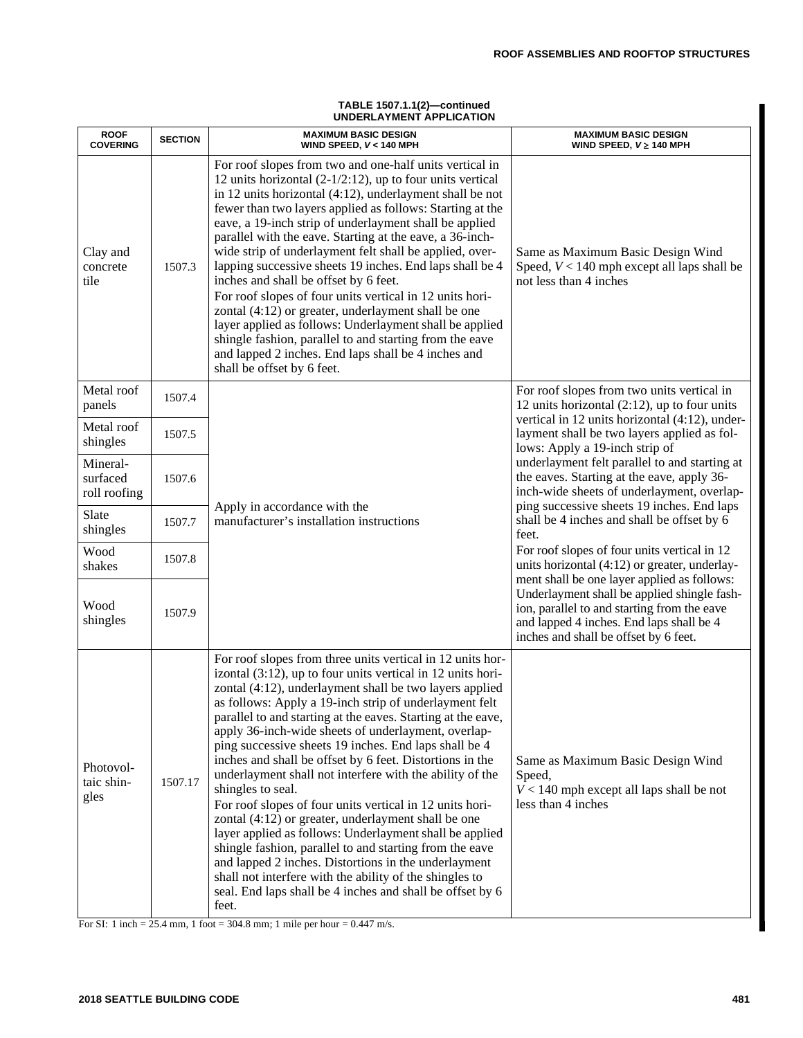| <b>ROOF</b><br><b>COVERING</b>       | <b>SECTION</b> | UNDERLATIVIENT APPLICATION<br><b>MAXIMUM BASIC DESIGN</b><br>WIND SPEED, V<140 MPH                                                                                                                                                                                                                                                                                                                                                                                                                                                                                                                                                                                                                                                                                                                                                                                                                                                                                                                            | <b>MAXIMUM BASIC DESIGN</b><br>WIND SPEED, $V \geq 140$ MPH                                                                                                                                         |
|--------------------------------------|----------------|---------------------------------------------------------------------------------------------------------------------------------------------------------------------------------------------------------------------------------------------------------------------------------------------------------------------------------------------------------------------------------------------------------------------------------------------------------------------------------------------------------------------------------------------------------------------------------------------------------------------------------------------------------------------------------------------------------------------------------------------------------------------------------------------------------------------------------------------------------------------------------------------------------------------------------------------------------------------------------------------------------------|-----------------------------------------------------------------------------------------------------------------------------------------------------------------------------------------------------|
| Clay and<br>concrete<br>tile         | 1507.3         | For roof slopes from two and one-half units vertical in<br>12 units horizontal $(2-1/2:12)$ , up to four units vertical<br>in 12 units horizontal (4:12), underlayment shall be not<br>fewer than two layers applied as follows: Starting at the<br>eave, a 19-inch strip of underlayment shall be applied<br>parallel with the eave. Starting at the eave, a 36-inch-<br>wide strip of underlayment felt shall be applied, over-<br>lapping successive sheets 19 inches. End laps shall be 4<br>inches and shall be offset by 6 feet.<br>For roof slopes of four units vertical in 12 units hori-<br>zontal (4:12) or greater, underlayment shall be one<br>layer applied as follows: Underlayment shall be applied<br>shingle fashion, parallel to and starting from the eave<br>and lapped 2 inches. End laps shall be 4 inches and<br>shall be offset by 6 feet.                                                                                                                                          | Same as Maximum Basic Design Wind<br>Speed, $V < 140$ mph except all laps shall be<br>not less than 4 inches                                                                                        |
| Metal roof<br>panels                 | 1507.4         |                                                                                                                                                                                                                                                                                                                                                                                                                                                                                                                                                                                                                                                                                                                                                                                                                                                                                                                                                                                                               | For roof slopes from two units vertical in<br>12 units horizontal $(2:12)$ , up to four units                                                                                                       |
| Metal roof<br>shingles               | 1507.5         |                                                                                                                                                                                                                                                                                                                                                                                                                                                                                                                                                                                                                                                                                                                                                                                                                                                                                                                                                                                                               | vertical in 12 units horizontal (4:12), under-<br>layment shall be two layers applied as fol-<br>lows: Apply a 19-inch strip of                                                                     |
| Mineral-<br>surfaced<br>roll roofing | 1507.6         |                                                                                                                                                                                                                                                                                                                                                                                                                                                                                                                                                                                                                                                                                                                                                                                                                                                                                                                                                                                                               | underlayment felt parallel to and starting at<br>the eaves. Starting at the eave, apply 36-<br>inch-wide sheets of underlayment, overlap-<br>ping successive sheets 19 inches. End laps             |
| Slate<br>shingles                    | 1507.7         | Apply in accordance with the<br>manufacturer's installation instructions                                                                                                                                                                                                                                                                                                                                                                                                                                                                                                                                                                                                                                                                                                                                                                                                                                                                                                                                      | shall be 4 inches and shall be offset by 6<br>feet.<br>For roof slopes of four units vertical in 12<br>units horizontal (4:12) or greater, underlay-<br>ment shall be one layer applied as follows: |
| Wood<br>shakes                       | 1507.8         |                                                                                                                                                                                                                                                                                                                                                                                                                                                                                                                                                                                                                                                                                                                                                                                                                                                                                                                                                                                                               |                                                                                                                                                                                                     |
| Wood<br>shingles                     | 1507.9         |                                                                                                                                                                                                                                                                                                                                                                                                                                                                                                                                                                                                                                                                                                                                                                                                                                                                                                                                                                                                               | Underlayment shall be applied shingle fash-<br>ion, parallel to and starting from the eave<br>and lapped 4 inches. End laps shall be 4<br>inches and shall be offset by 6 feet.                     |
| Photovol-<br>taic shin-<br>gles      | 1507.17        | For roof slopes from three units vertical in 12 units hor-<br>izontal (3:12), up to four units vertical in 12 units hori-<br>zontal (4:12), underlayment shall be two layers applied<br>as follows: Apply a 19-inch strip of underlayment felt<br>parallel to and starting at the eaves. Starting at the eave,<br>apply 36-inch-wide sheets of underlayment, overlap-<br>ping successive sheets 19 inches. End laps shall be 4<br>inches and shall be offset by 6 feet. Distortions in the<br>underlayment shall not interfere with the ability of the<br>shingles to seal.<br>For roof slopes of four units vertical in 12 units hori-<br>zontal (4:12) or greater, underlayment shall be one<br>layer applied as follows: Underlayment shall be applied<br>shingle fashion, parallel to and starting from the eave<br>and lapped 2 inches. Distortions in the underlayment<br>shall not interfere with the ability of the shingles to<br>seal. End laps shall be 4 inches and shall be offset by 6<br>feet. | Same as Maximum Basic Design Wind<br>Speed,<br>$V < 140$ mph except all laps shall be not<br>less than 4 inches                                                                                     |

#### **TABLE 1507.1.1(2)—continued UNDERLAYMENT APPLICATION**

For SI: 1 inch = 25.4 mm, 1 foot = 304.8 mm; 1 mile per hour = 0.447 m/s.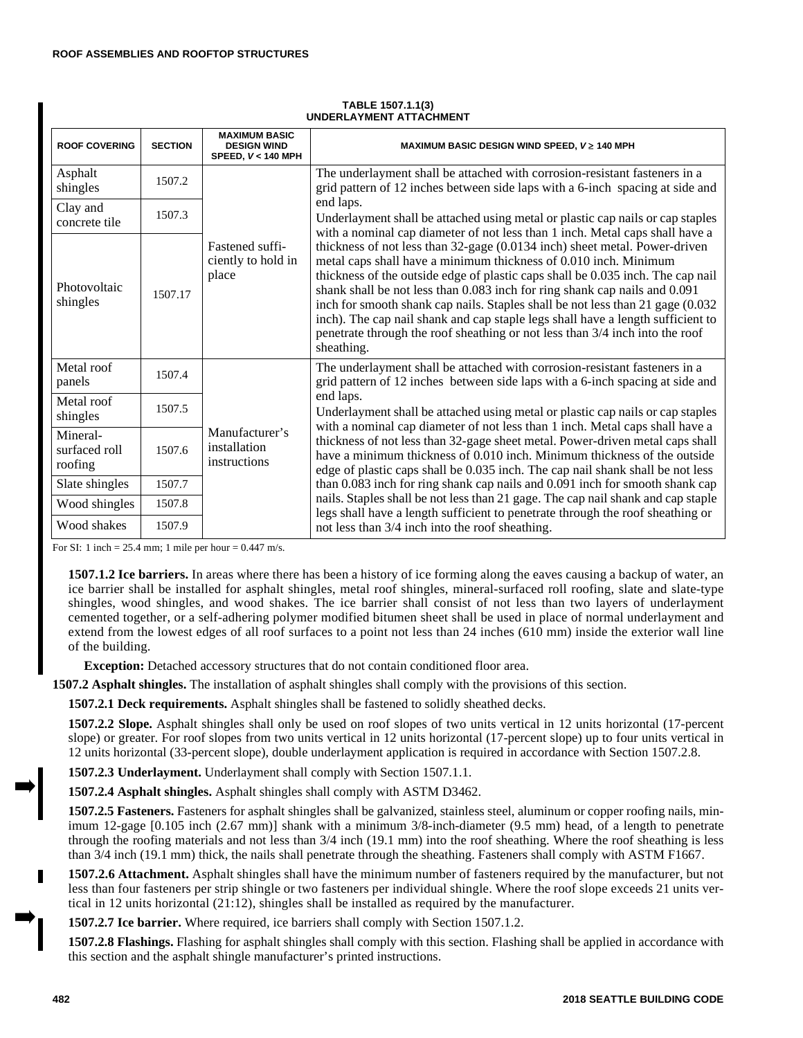| <b>ROOF COVERING</b>                 | <b>SECTION</b> | <b>MAXIMUM BASIC</b><br><b>DESIGN WIND</b><br>SPEED, V< 140 MPH | MAXIMUM BASIC DESIGN WIND SPEED, $V \geq 140$ MPH                                                                                                                                                                                                                                                                                                                                                                                                                                                                                                                                   |
|--------------------------------------|----------------|-----------------------------------------------------------------|-------------------------------------------------------------------------------------------------------------------------------------------------------------------------------------------------------------------------------------------------------------------------------------------------------------------------------------------------------------------------------------------------------------------------------------------------------------------------------------------------------------------------------------------------------------------------------------|
| Asphalt<br>shingles                  | 1507.2         |                                                                 | The underlayment shall be attached with corrosion-resistant fasteners in a<br>grid pattern of 12 inches between side laps with a 6-inch spacing at side and                                                                                                                                                                                                                                                                                                                                                                                                                         |
| Clay and<br>concrete tile            | 1507.3         |                                                                 | end laps.<br>Underlayment shall be attached using metal or plastic cap nails or cap staples<br>with a nominal cap diameter of not less than 1 inch. Metal caps shall have a                                                                                                                                                                                                                                                                                                                                                                                                         |
| Photovoltaic<br>shingles             | 1507.17        | Fastened suffi-<br>ciently to hold in<br>place                  | thickness of not less than 32-gage (0.0134 inch) sheet metal. Power-driven<br>metal caps shall have a minimum thickness of 0.010 inch. Minimum<br>thickness of the outside edge of plastic caps shall be 0.035 inch. The cap nail<br>shank shall be not less than 0.083 inch for ring shank cap nails and 0.091<br>inch for smooth shank cap nails. Staples shall be not less than 21 gage (0.032)<br>inch). The cap nail shank and cap staple legs shall have a length sufficient to<br>penetrate through the roof sheathing or not less than 3/4 inch into the roof<br>sheathing. |
| Metal roof<br>panels                 | 1507.4         |                                                                 | The underlayment shall be attached with corrosion-resistant fasteners in a<br>grid pattern of 12 inches between side laps with a 6-inch spacing at side and                                                                                                                                                                                                                                                                                                                                                                                                                         |
| Metal roof<br>shingles               | 1507.5         |                                                                 | end laps.<br>Underlayment shall be attached using metal or plastic cap nails or cap staples<br>with a nominal cap diameter of not less than 1 inch. Metal caps shall have a                                                                                                                                                                                                                                                                                                                                                                                                         |
| Mineral-<br>surfaced roll<br>roofing | 1507.6         | Manufacturer's<br>installation<br>instructions                  | thickness of not less than 32-gage sheet metal. Power-driven metal caps shall<br>have a minimum thickness of 0.010 inch. Minimum thickness of the outside<br>edge of plastic caps shall be 0.035 inch. The cap nail shank shall be not less                                                                                                                                                                                                                                                                                                                                         |
| Slate shingles                       | 1507.7         |                                                                 | than 0.083 inch for ring shank cap nails and 0.091 inch for smooth shank cap                                                                                                                                                                                                                                                                                                                                                                                                                                                                                                        |
| Wood shingles                        | 1507.8         |                                                                 | nails. Staples shall be not less than 21 gage. The cap nail shank and cap staple<br>legs shall have a length sufficient to penetrate through the roof sheathing or                                                                                                                                                                                                                                                                                                                                                                                                                  |
| Wood shakes                          | 1507.9         |                                                                 | not less than 3/4 inch into the roof sheathing.                                                                                                                                                                                                                                                                                                                                                                                                                                                                                                                                     |

#### **TABLE 1507.1.1(3) UNDERLAYMENT ATTACHMENT**

For SI: 1 inch =  $25.4$  mm; 1 mile per hour =  $0.447$  m/s.

**1507.1.2 Ice barriers.** In areas where there has been a history of ice forming along the eaves causing a backup of water, an ice barrier shall be installed for asphalt shingles, metal roof shingles, mineral-surfaced roll roofing, slate and slate-type shingles, wood shingles, and wood shakes. The ice barrier shall consist of not less than two layers of underlayment cemented together, or a self-adhering polymer modified bitumen sheet shall be used in place of normal underlayment and extend from the lowest edges of all roof surfaces to a point not less than 24 inches (610 mm) inside the exterior wall line of the building.

**Exception:** Detached accessory structures that do not contain conditioned floor area.

**1507.2 Asphalt shingles.** The installation of asphalt shingles shall comply with the provisions of this section.

**1507.2.1 Deck requirements.** Asphalt shingles shall be fastened to solidly sheathed decks.

**1507.2.2 Slope.** Asphalt shingles shall only be used on roof slopes of two units vertical in 12 units horizontal (17-percent slope) or greater. For roof slopes from two units vertical in 12 units horizontal (17-percent slope) up to four units vertical in 12 units horizontal (33-percent slope), double underlayment application is required in accordance with Section 1507.2.8.

**1507.2.3 Underlayment.** Underlayment shall comply with Section 1507.1.1.

**1507.2.4 Asphalt shingles.** Asphalt shingles shall comply with ASTM D3462.

**1507.2.5 Fasteners.** Fasteners for asphalt shingles shall be galvanized, stainless steel, aluminum or copper roofing nails, minimum 12-gage [0.105 inch (2.67 mm)] shank with a minimum 3/8-inch-diameter (9.5 mm) head, of a length to penetrate through the roofing materials and not less than 3/4 inch (19.1 mm) into the roof sheathing. Where the roof sheathing is less than 3/4 inch (19.1 mm) thick, the nails shall penetrate through the sheathing. Fasteners shall comply with ASTM F1667.

**1507.2.6 Attachment.** Asphalt shingles shall have the minimum number of fasteners required by the manufacturer, but not less than four fasteners per strip shingle or two fasteners per individual shingle. Where the roof slope exceeds 21 units vertical in 12 units horizontal (21:12), shingles shall be installed as required by the manufacturer.

**1507.2.7 Ice barrier.** Where required, ice barriers shall comply with Section 1507.1.2.

**1507.2.8 Flashings.** Flashing for asphalt shingles shall comply with this section. Flashing shall be applied in accordance with this section and the asphalt shingle manufacturer's printed instructions.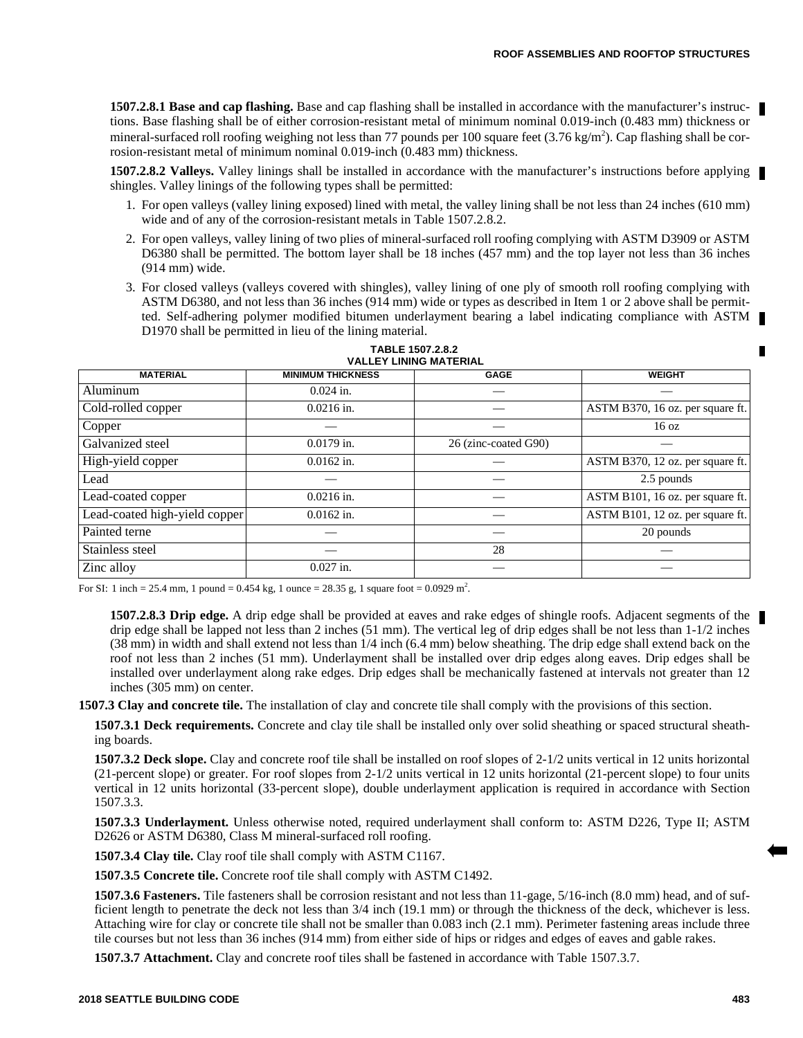**1507.2.8.1 Base and cap flashing.** Base and cap flashing shall be installed in accordance with the manufacturer's instructions. Base flashing shall be of either corrosion-resistant metal of minimum nominal 0.019-inch (0.483 mm) thickness or mineral-surfaced roll roofing weighing not less than 77 pounds per 100 square feet  $(3.76 \text{ kg/m}^2)$ . Cap flashing shall be corrosion-resistant metal of minimum nominal 0.019-inch (0.483 mm) thickness.

**1507.2.8.2 Valleys.** Valley linings shall be installed in accordance with the manufacturer's instructions before applying shingles. Valley linings of the following types shall be permitted:

- 1. For open valleys (valley lining exposed) lined with metal, the valley lining shall be not less than 24 inches (610 mm) wide and of any of the corrosion-resistant metals in Table 1507.2.8.2.
- 2. For open valleys, valley lining of two plies of mineral-surfaced roll roofing complying with ASTM D3909 or ASTM D6380 shall be permitted. The bottom layer shall be 18 inches (457 mm) and the top layer not less than 36 inches (914 mm) wide.
- 3. For closed valleys (valleys covered with shingles), valley lining of one ply of smooth roll roofing complying with ASTM D6380, and not less than 36 inches (914 mm) wide or types as described in Item 1 or 2 above shall be permitted. Self-adhering polymer modified bitumen underlayment bearing a label indicating compliance with ASTM D1970 shall be permitted in lieu of the lining material.

| <b>MATERIAL</b>                         | <b>MINIMUM THICKNESS</b> | <b>GAGE</b>          | <b>WEIGHT</b>                    |
|-----------------------------------------|--------------------------|----------------------|----------------------------------|
| Aluminum                                | $0.024$ in.              |                      |                                  |
| $\overline{\text{Col}}$ d-rolled copper | $0.0216$ in.             |                      | ASTM B370, 16 oz. per square ft. |
| Copper                                  |                          |                      | 16 oz                            |
| Galvanized steel                        | $0.0179$ in.             | 26 (zinc-coated G90) |                                  |
| High-yield copper                       | $0.0162$ in.             |                      | ASTM B370, 12 oz. per square ft. |
| Lead                                    |                          |                      | 2.5 pounds                       |
| Lead-coated copper                      | $0.0216$ in.             |                      | ASTM B101, 16 oz. per square ft. |
| Lead-coated high-yield copper           | $0.0162$ in.             |                      | ASTM B101, 12 oz. per square ft. |
| Painted terne                           |                          |                      | 20 pounds                        |
| Stainless steel                         |                          | 28                   |                                  |
| Zinc alloy                              | $0.027$ in.              |                      |                                  |

#### **TABLE 1507.2.8.2 VALLEY LINING MATERIAL**

For SI: 1 inch = 25.4 mm, 1 pound =  $0.454$  kg, 1 ounce = 28.35 g, 1 square foot =  $0.0929$  m<sup>2</sup>.

**1507.2.8.3 Drip edge.** A drip edge shall be provided at eaves and rake edges of shingle roofs. Adjacent segments of the drip edge shall be lapped not less than 2 inches (51 mm). The vertical leg of drip edges shall be not less than 1-1/2 inches (38 mm) in width and shall extend not less than 1/4 inch (6.4 mm) below sheathing. The drip edge shall extend back on the roof not less than 2 inches (51 mm). Underlayment shall be installed over drip edges along eaves. Drip edges shall be installed over underlayment along rake edges. Drip edges shall be mechanically fastened at intervals not greater than 12 inches (305 mm) on center.

**1507.3 Clay and concrete tile.** The installation of clay and concrete tile shall comply with the provisions of this section.

**1507.3.1 Deck requirements.** Concrete and clay tile shall be installed only over solid sheathing or spaced structural sheathing boards.

**1507.3.2 Deck slope.** Clay and concrete roof tile shall be installed on roof slopes of 2-1/2 units vertical in 12 units horizontal (21-percent slope) or greater. For roof slopes from 2-1/2 units vertical in 12 units horizontal (21-percent slope) to four units vertical in 12 units horizontal (33-percent slope), double underlayment application is required in accordance with Section 1507.3.3.

**1507.3.3 Underlayment.** Unless otherwise noted, required underlayment shall conform to: ASTM D226, Type II; ASTM D2626 or ASTM D6380, Class M mineral-surfaced roll roofing.

**1507.3.4 Clay tile.** Clay roof tile shall comply with ASTM C1167.

**1507.3.5 Concrete tile.** Concrete roof tile shall comply with ASTM C1492.

**1507.3.6 Fasteners.** Tile fasteners shall be corrosion resistant and not less than 11-gage, 5/16-inch (8.0 mm) head, and of sufficient length to penetrate the deck not less than 3/4 inch (19.1 mm) or through the thickness of the deck, whichever is less. Attaching wire for clay or concrete tile shall not be smaller than 0.083 inch (2.1 mm). Perimeter fastening areas include three tile courses but not less than 36 inches (914 mm) from either side of hips or ridges and edges of eaves and gable rakes.

**1507.3.7 Attachment.** Clay and concrete roof tiles shall be fastened in accordance with Table 1507.3.7.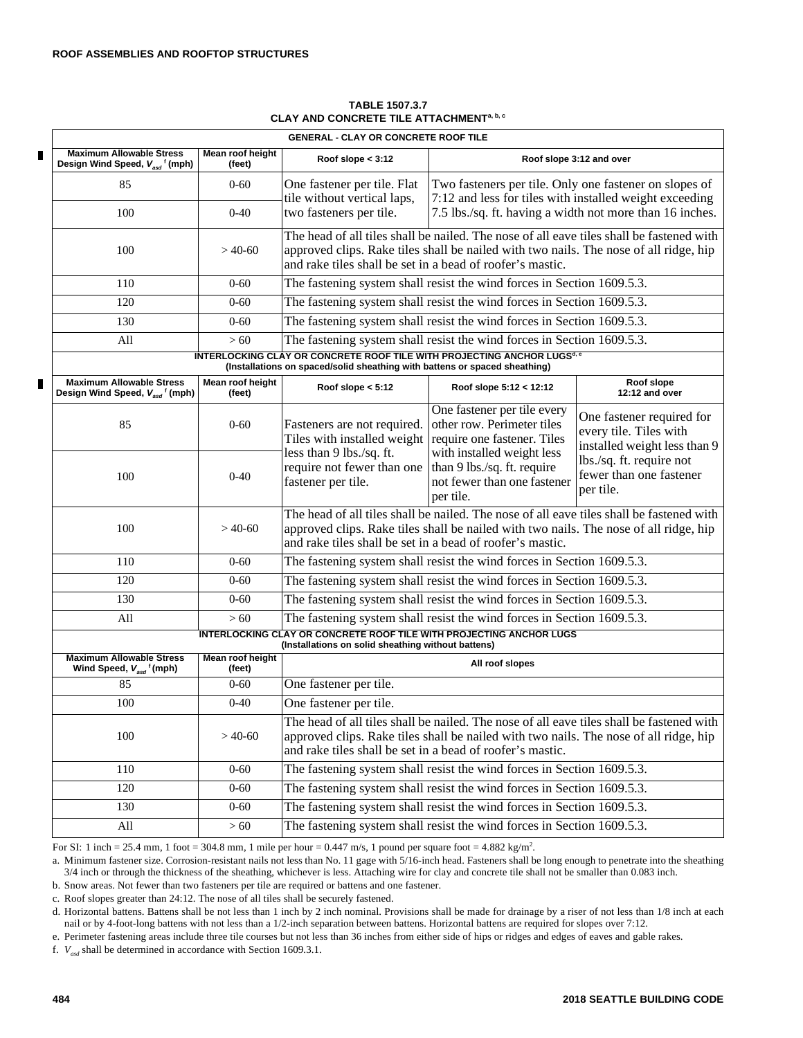|   | <b>GENERAL - CLAY OR CONCRETE ROOF TILE</b>                                               |                            |                                                                                                                                                                                                                                                |                                                                                                                        |                                                                                     |
|---|-------------------------------------------------------------------------------------------|----------------------------|------------------------------------------------------------------------------------------------------------------------------------------------------------------------------------------------------------------------------------------------|------------------------------------------------------------------------------------------------------------------------|-------------------------------------------------------------------------------------|
| П | <b>Maximum Allowable Stress</b><br>Design Wind Speed, V <sub>asd</sub> ' (mph)            | Mean roof height<br>(feet) | Roof slope $<$ 3:12                                                                                                                                                                                                                            |                                                                                                                        | Roof slope 3:12 and over                                                            |
|   | 85                                                                                        | $0 - 60$                   | One fastener per tile. Flat<br>tile without vertical laps,                                                                                                                                                                                     | Two fasteners per tile. Only one fastener on slopes of<br>7:12 and less for tiles with installed weight exceeding      |                                                                                     |
|   | 100                                                                                       | $0 - 40$                   | two fasteners per tile.                                                                                                                                                                                                                        | 7.5 lbs./sq. ft. having a width not more than 16 inches.                                                               |                                                                                     |
|   | 100                                                                                       | $>40-60$                   | The head of all tiles shall be nailed. The nose of all eave tiles shall be fastened with<br>approved clips. Rake tiles shall be nailed with two nails. The nose of all ridge, hip<br>and rake tiles shall be set in a bead of roofer's mastic. |                                                                                                                        |                                                                                     |
|   | 110                                                                                       | $0 - 60$                   | The fastening system shall resist the wind forces in Section 1609.5.3.                                                                                                                                                                         |                                                                                                                        |                                                                                     |
|   | 120                                                                                       | $0 - 60$                   |                                                                                                                                                                                                                                                | The fastening system shall resist the wind forces in Section 1609.5.3.                                                 |                                                                                     |
|   | 130                                                                                       | $0 - 60$                   |                                                                                                                                                                                                                                                | The fastening system shall resist the wind forces in Section 1609.5.3.                                                 |                                                                                     |
|   | All                                                                                       | >60                        |                                                                                                                                                                                                                                                | The fastening system shall resist the wind forces in Section 1609.5.3.                                                 |                                                                                     |
|   |                                                                                           |                            | (Installations on spaced/solid sheathing with battens or spaced sheathing)                                                                                                                                                                     | <b>INTERLOCKING CLAY OR CONCRETE ROOF TILE WITH PROJECTING ANCHOR LUGS<sup>d.6</sup></b>                               |                                                                                     |
| П | <b>Maximum Allowable Stress</b><br>Design Wind Speed, V <sub>asd</sub> <sup>f</sup> (mph) | Mean roof height<br>(feet) | Roof slope $< 5:12$                                                                                                                                                                                                                            | Roof slope 5:12 < 12:12                                                                                                | Roof slope<br>12:12 and over                                                        |
|   | 85                                                                                        | $0 - 60$                   | Fasteners are not required.<br>Tiles with installed weight<br>less than 9 lbs./sq. ft.                                                                                                                                                         | One fastener per tile every<br>other row. Perimeter tiles<br>require one fastener. Tiles<br>with installed weight less | One fastener required for<br>every tile. Tiles with<br>installed weight less than 9 |
|   | 100                                                                                       | $0-40$                     | require not fewer than one<br>fastener per tile.                                                                                                                                                                                               | than 9 lbs./sq. ft. require<br>not fewer than one fastener<br>per tile.                                                | lbs./sq. ft. require not<br>fewer than one fastener<br>per tile.                    |
|   | 100                                                                                       | $>40-60$                   | The head of all tiles shall be nailed. The nose of all eave tiles shall be fastened with<br>approved clips. Rake tiles shall be nailed with two nails. The nose of all ridge, hip<br>and rake tiles shall be set in a bead of roofer's mastic. |                                                                                                                        |                                                                                     |
|   | 110                                                                                       | $0 - 60$                   |                                                                                                                                                                                                                                                | The fastening system shall resist the wind forces in Section 1609.5.3.                                                 |                                                                                     |
|   | 120                                                                                       | $0 - 60$                   |                                                                                                                                                                                                                                                | The fastening system shall resist the wind forces in Section 1609.5.3.                                                 |                                                                                     |
|   | 130                                                                                       | $0 - 60$                   |                                                                                                                                                                                                                                                | The fastening system shall resist the wind forces in Section 1609.5.3.                                                 |                                                                                     |
|   | All                                                                                       | >60                        |                                                                                                                                                                                                                                                | The fastening system shall resist the wind forces in Section 1609.5.3.                                                 |                                                                                     |
|   |                                                                                           |                            | (Installations on solid sheathing without battens)                                                                                                                                                                                             | INTERLOCKING CLAY OR CONCRETE ROOF TILE WITH PROJECTING ANCHOR LUGS                                                    |                                                                                     |
|   | <b>Maximum Allowable Stress</b><br>Wind Speed, $V_{asd}$ <sup>f</sup> (mph)               | Mean roof height<br>(feet) |                                                                                                                                                                                                                                                | All roof slopes                                                                                                        |                                                                                     |
|   | 85                                                                                        | $0 - 60$                   | One fastener per tile.                                                                                                                                                                                                                         |                                                                                                                        |                                                                                     |
|   | 100                                                                                       | $0 - 40$                   | One fastener per tile.                                                                                                                                                                                                                         |                                                                                                                        |                                                                                     |
|   | 100                                                                                       | $>40-60$                   | The head of all tiles shall be nailed. The nose of all eave tiles shall be fastened with<br>approved clips. Rake tiles shall be nailed with two nails. The nose of all ridge, hip<br>and rake tiles shall be set in a bead of roofer's mastic. |                                                                                                                        |                                                                                     |
|   | 110                                                                                       | $0 - 60$                   |                                                                                                                                                                                                                                                | The fastening system shall resist the wind forces in Section 1609.5.3.                                                 |                                                                                     |
|   | 120                                                                                       | $0 - 60$                   |                                                                                                                                                                                                                                                | The fastening system shall resist the wind forces in Section 1609.5.3.                                                 |                                                                                     |
|   | 130                                                                                       | $0 - 60$                   |                                                                                                                                                                                                                                                | The fastening system shall resist the wind forces in Section 1609.5.3.                                                 |                                                                                     |
|   | All                                                                                       | >60                        |                                                                                                                                                                                                                                                | The fastening system shall resist the wind forces in Section 1609.5.3.                                                 |                                                                                     |

## **TABLE 1507.3.7 CLAY AND CONCRETE TILE ATTACHMENTa, b, c**

For SI: 1 inch = 25.4 mm, 1 foot = 304.8 mm, 1 mile per hour = 0.447 m/s, 1 pound per square foot = 4.882 kg/m<sup>2</sup>.

a. Minimum fastener size. Corrosion-resistant nails not less than No. 11 gage with 5/16-inch head. Fasteners shall be long enough to penetrate into the sheathing 3/4 inch or through the thickness of the sheathing, whichever is less. Attaching wire for clay and concrete tile shall not be smaller than 0.083 inch.

b. Snow areas. Not fewer than two fasteners per tile are required or battens and one fastener.

c. Roof slopes greater than 24:12. The nose of all tiles shall be securely fastened.

d. Horizontal battens. Battens shall be not less than 1 inch by 2 inch nominal. Provisions shall be made for drainage by a riser of not less than 1/8 inch at each nail or by 4-foot-long battens with not less than a 1/2-inch separation between battens. Horizontal battens are required for slopes over 7:12.

e. Perimeter fastening areas include three tile courses but not less than 36 inches from either side of hips or ridges and edges of eaves and gable rakes.

f. *Vasd* shall be determined in accordance with Section 1609.3.1.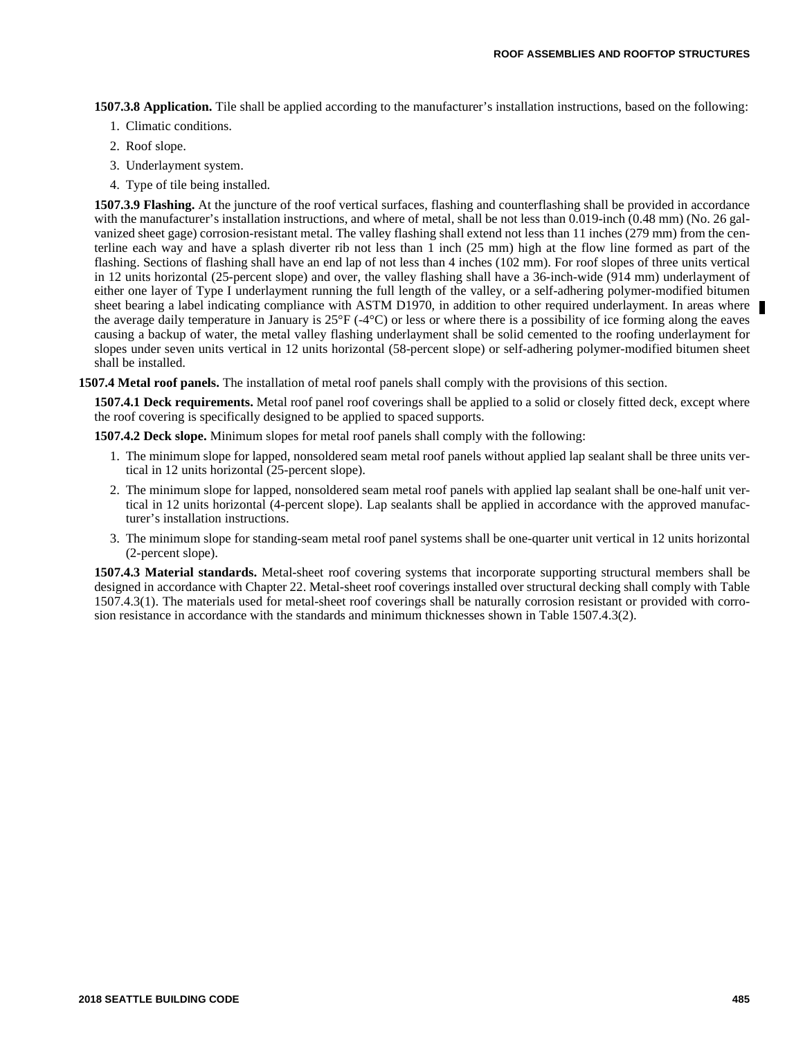**1507.3.8 Application.** Tile shall be applied according to the manufacturer's installation instructions, based on the following:

- 1. Climatic conditions.
- 2. Roof slope.
- 3. Underlayment system.
- 4. Type of tile being installed.

**1507.3.9 Flashing.** At the juncture of the roof vertical surfaces, flashing and counterflashing shall be provided in accordance with the manufacturer's installation instructions, and where of metal, shall be not less than 0.019-inch (0.48 mm) (No. 26 galvanized sheet gage) corrosion-resistant metal. The valley flashing shall extend not less than 11 inches (279 mm) from the centerline each way and have a splash diverter rib not less than 1 inch (25 mm) high at the flow line formed as part of the flashing. Sections of flashing shall have an end lap of not less than 4 inches (102 mm). For roof slopes of three units vertical in 12 units horizontal (25-percent slope) and over, the valley flashing shall have a 36-inch-wide (914 mm) underlayment of either one layer of Type I underlayment running the full length of the valley, or a self-adhering polymer-modified bitumen sheet bearing a label indicating compliance with ASTM D1970, in addition to other required underlayment. In areas where the average daily temperature in January is  $25^{\circ}F$  (-4 $^{\circ}C$ ) or less or where there is a possibility of ice forming along the eaves causing a backup of water, the metal valley flashing underlayment shall be solid cemented to the roofing underlayment for slopes under seven units vertical in 12 units horizontal (58-percent slope) or self-adhering polymer-modified bitumen sheet shall be installed.

**1507.4 Metal roof panels.** The installation of metal roof panels shall comply with the provisions of this section.

**1507.4.1 Deck requirements.** Metal roof panel roof coverings shall be applied to a solid or closely fitted deck, except where the roof covering is specifically designed to be applied to spaced supports.

**1507.4.2 Deck slope.** Minimum slopes for metal roof panels shall comply with the following:

- 1. The minimum slope for lapped, nonsoldered seam metal roof panels without applied lap sealant shall be three units vertical in 12 units horizontal (25-percent slope).
- 2. The minimum slope for lapped, nonsoldered seam metal roof panels with applied lap sealant shall be one-half unit vertical in 12 units horizontal (4-percent slope). Lap sealants shall be applied in accordance with the approved manufacturer's installation instructions.
- 3. The minimum slope for standing-seam metal roof panel systems shall be one-quarter unit vertical in 12 units horizontal (2-percent slope).

**1507.4.3 Material standards.** Metal-sheet roof covering systems that incorporate supporting structural members shall be designed in accordance with Chapter 22. Metal-sheet roof coverings installed over structural decking shall comply with Table 1507.4.3(1). The materials used for metal-sheet roof coverings shall be naturally corrosion resistant or provided with corrosion resistance in accordance with the standards and minimum thicknesses shown in Table 1507.4.3(2).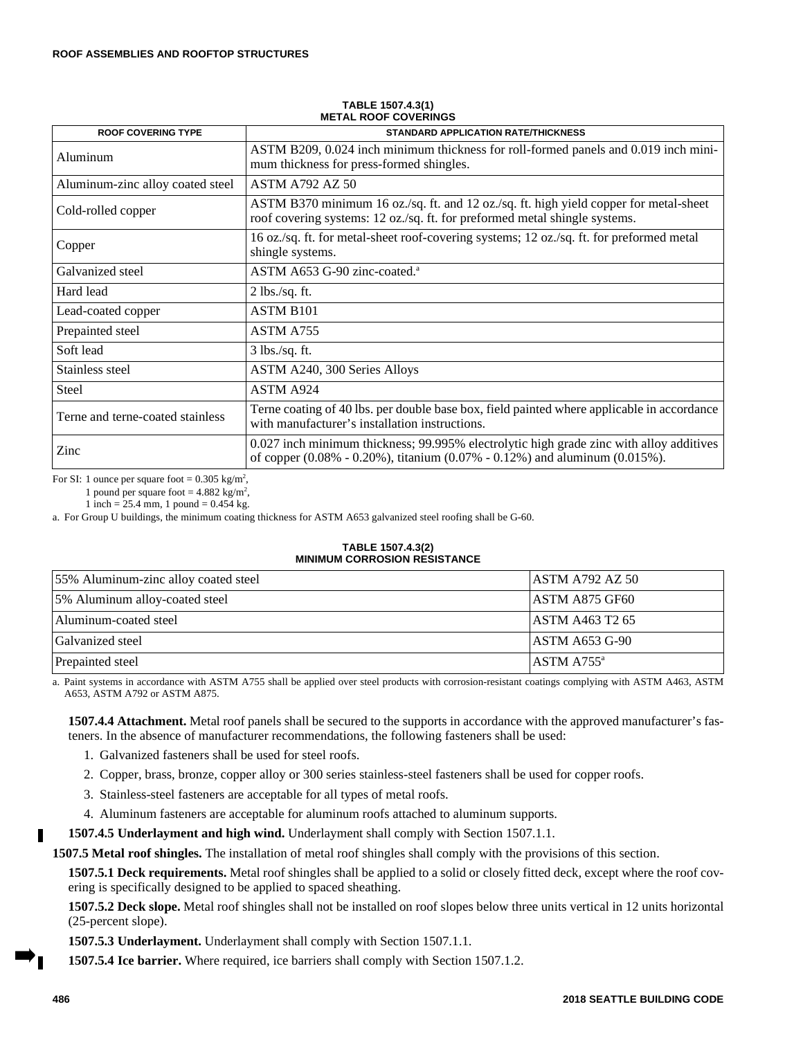| <b>ROOF COVERING TYPE</b>        | <b>STANDARD APPLICATION RATE/THICKNESS</b>                                                                                                                                         |
|----------------------------------|------------------------------------------------------------------------------------------------------------------------------------------------------------------------------------|
| Aluminum                         | ASTM B209, 0.024 inch minimum thickness for roll-formed panels and 0.019 inch mini-<br>mum thickness for press-formed shingles.                                                    |
| Aluminum-zinc alloy coated steel | <b>ASTM A792 AZ 50</b>                                                                                                                                                             |
| Cold-rolled copper               | ASTM B370 minimum 16 oz./sq. ft. and 12 oz./sq. ft. high yield copper for metal-sheet<br>roof covering systems: 12 oz./sq. ft. for preformed metal shingle systems.                |
| Copper                           | 16 oz./sq. ft. for metal-sheet roof-covering systems; 12 oz./sq. ft. for preformed metal<br>shingle systems.                                                                       |
| Galvanized steel                 | ASTM A653 G-90 zinc-coated. <sup>a</sup>                                                                                                                                           |
| Hard lead                        | $2$ lbs./sq. ft.                                                                                                                                                                   |
| Lead-coated copper               | ASTM B <sub>101</sub>                                                                                                                                                              |
| Prepainted steel                 | ASTM A755                                                                                                                                                                          |
| Soft lead                        | $3$ lbs./sq. ft.                                                                                                                                                                   |
| Stainless steel                  | ASTM A240, 300 Series Alloys                                                                                                                                                       |
| <b>Steel</b>                     | ASTM A924                                                                                                                                                                          |
| Terne and terne-coated stainless | Terne coating of 40 lbs. per double base box, field painted where applicable in accordance<br>with manufacturer's installation instructions.                                       |
| Zinc                             | 0.027 inch minimum thickness; 99.995% electrolytic high grade zinc with alloy additives<br>of copper $(0.08\% - 0.20\%)$ , titanium $(0.07\% - 0.12\%)$ and aluminum $(0.015\%)$ . |

#### **TABLE 1507.4.3(1) METAL ROOF COVERINGS**

For SI: 1 ounce per square foot =  $0.305 \text{ kg/m}^2$ ,

1 pound per square foot =  $4.882 \text{ kg/m}^2$ ,

1 inch =  $25.4$  mm, 1 pound =  $0.454$  kg.

a. For Group U buildings, the minimum coating thickness for ASTM A653 galvanized steel roofing shall be G-60.

#### **TABLE 1507.4.3(2) MINIMUM CORROSION RESISTANCE**

| 55% Aluminum-zinc alloy coated steel | <b>ASTM A792 AZ 50</b> |
|--------------------------------------|------------------------|
| 5% Aluminum alloy-coated steel       | IASTM A875 GF60        |
| Aluminum-coated steel                | IASTM A463 T2 65       |
| Galvanized steel                     | <b>ASTM A653 G-90</b>  |
| Prepainted steel                     | ASTM A755 <sup>a</sup> |

a. Paint systems in accordance with ASTM A755 shall be applied over steel products with corrosion-resistant coatings complying with ASTM A463, ASTM A653, ASTM A792 or ASTM A875.

**1507.4.4 Attachment.** Metal roof panels shall be secured to the supports in accordance with the approved manufacturer's fasteners. In the absence of manufacturer recommendations, the following fasteners shall be used:

- 1. Galvanized fasteners shall be used for steel roofs.
- 2. Copper, brass, bronze, copper alloy or 300 series stainless-steel fasteners shall be used for copper roofs.
- 3. Stainless-steel fasteners are acceptable for all types of metal roofs.
- 4. Aluminum fasteners are acceptable for aluminum roofs attached to aluminum supports.
- **1507.4.5 Underlayment and high wind.** Underlayment shall comply with Section 1507.1.1.

**1507.5 Metal roof shingles.** The installation of metal roof shingles shall comply with the provisions of this section.

**1507.5.1 Deck requirements.** Metal roof shingles shall be applied to a solid or closely fitted deck, except where the roof covering is specifically designed to be applied to spaced sheathing.

**1507.5.2 Deck slope.** Metal roof shingles shall not be installed on roof slopes below three units vertical in 12 units horizontal (25-percent slope).

**1507.5.3 Underlayment.** Underlayment shall comply with Section 1507.1.1.

**1507.5.4 Ice barrier.** Where required, ice barriers shall comply with Section 1507.1.2.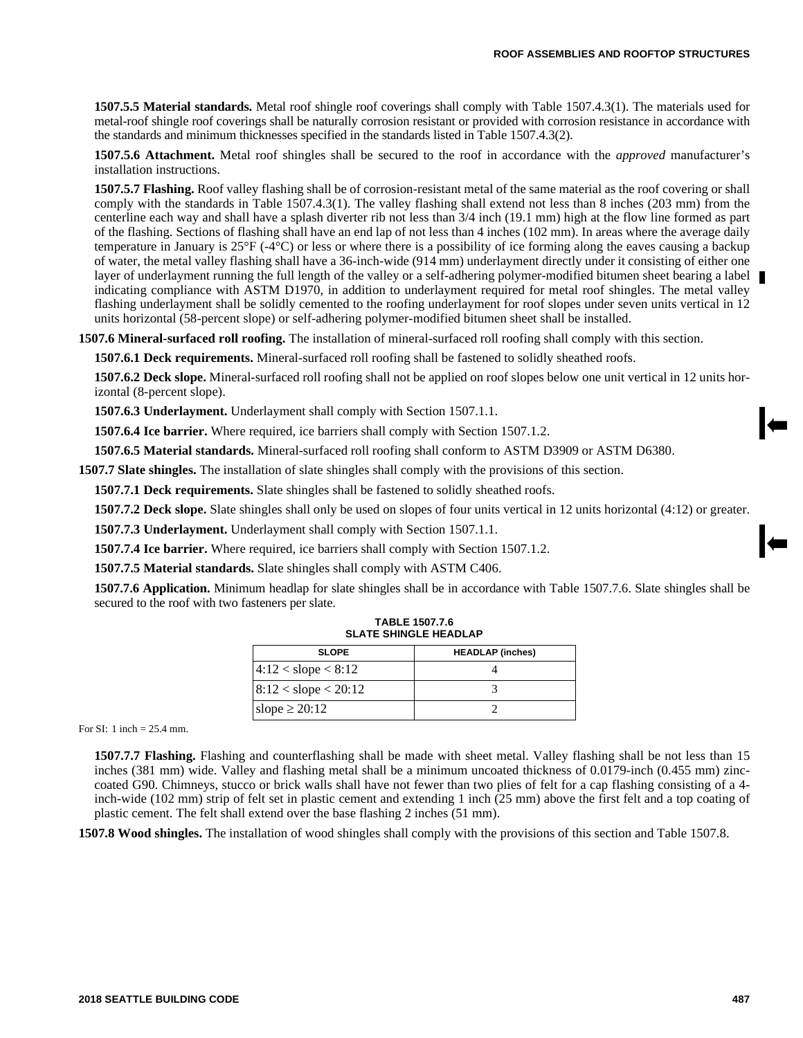**1507.5.5 Material standards.** Metal roof shingle roof coverings shall comply with Table 1507.4.3(1). The materials used for metal-roof shingle roof coverings shall be naturally corrosion resistant or provided with corrosion resistance in accordance with the standards and minimum thicknesses specified in the standards listed in Table 1507.4.3(2).

**1507.5.6 Attachment.** Metal roof shingles shall be secured to the roof in accordance with the *approved* manufacturer's installation instructions.

**1507.5.7 Flashing.** Roof valley flashing shall be of corrosion-resistant metal of the same material as the roof covering or shall comply with the standards in Table 1507.4.3(1). The valley flashing shall extend not less than 8 inches (203 mm) from the centerline each way and shall have a splash diverter rib not less than 3/4 inch (19.1 mm) high at the flow line formed as part of the flashing. Sections of flashing shall have an end lap of not less than 4 inches (102 mm). In areas where the average daily temperature in January is 25°F (-4°C) or less or where there is a possibility of ice forming along the eaves causing a backup of water, the metal valley flashing shall have a 36-inch-wide (914 mm) underlayment directly under it consisting of either one layer of underlayment running the full length of the valley or a self-adhering polymer-modified bitumen sheet bearing a label indicating compliance with ASTM D1970, in addition to underlayment required for metal roof shingles. The metal valley flashing underlayment shall be solidly cemented to the roofing underlayment for roof slopes under seven units vertical in 12 units horizontal (58-percent slope) or self-adhering polymer-modified bitumen sheet shall be installed.

**1507.6 Mineral-surfaced roll roofing.** The installation of mineral-surfaced roll roofing shall comply with this section.

**1507.6.1 Deck requirements.** Mineral-surfaced roll roofing shall be fastened to solidly sheathed roofs.

**1507.6.2 Deck slope.** Mineral-surfaced roll roofing shall not be applied on roof slopes below one unit vertical in 12 units horizontal (8-percent slope).

**1507.6.3 Underlayment.** Underlayment shall comply with Section 1507.1.1.

**1507.6.4 Ice barrier.** Where required, ice barriers shall comply with Section 1507.1.2.

**1507.6.5 Material standards.** Mineral-surfaced roll roofing shall conform to ASTM D3909 or ASTM D6380.

**1507.7 Slate shingles.** The installation of slate shingles shall comply with the provisions of this section.

**1507.7.1 Deck requirements.** Slate shingles shall be fastened to solidly sheathed roofs.

**1507.7.2 Deck slope.** Slate shingles shall only be used on slopes of four units vertical in 12 units horizontal (4:12) or greater.

**1507.7.3 Underlayment.** Underlayment shall comply with Section 1507.1.1.

**1507.7.4 Ice barrier.** Where required, ice barriers shall comply with Section 1507.1.2.

**1507.7.5 Material standards.** Slate shingles shall comply with ASTM C406.

**1507.7.6 Application.** Minimum headlap for slate shingles shall be in accordance with Table 1507.7.6. Slate shingles shall be secured to the roof with two fasteners per slate.

| <b>SLOPE</b>              | <b>HEADLAP</b> (inches) |  |
|---------------------------|-------------------------|--|
| $ 4:12 <$ slope $< 8:12$  |                         |  |
| $ 8:12 <$ slope $< 20:12$ |                         |  |
| slope $\geq 20:12$        |                         |  |

**TABLE 1507.7.6 SLATE SHINGLE HEADLAP**

For SI: 1 inch = 25.4 mm.

**1507.7.7 Flashing.** Flashing and counterflashing shall be made with sheet metal. Valley flashing shall be not less than 15 inches (381 mm) wide. Valley and flashing metal shall be a minimum uncoated thickness of 0.0179-inch (0.455 mm) zinccoated G90. Chimneys, stucco or brick walls shall have not fewer than two plies of felt for a cap flashing consisting of a 4 inch-wide (102 mm) strip of felt set in plastic cement and extending 1 inch (25 mm) above the first felt and a top coating of plastic cement. The felt shall extend over the base flashing 2 inches (51 mm).

**1507.8 Wood shingles.** The installation of wood shingles shall comply with the provisions of this section and Table 1507.8.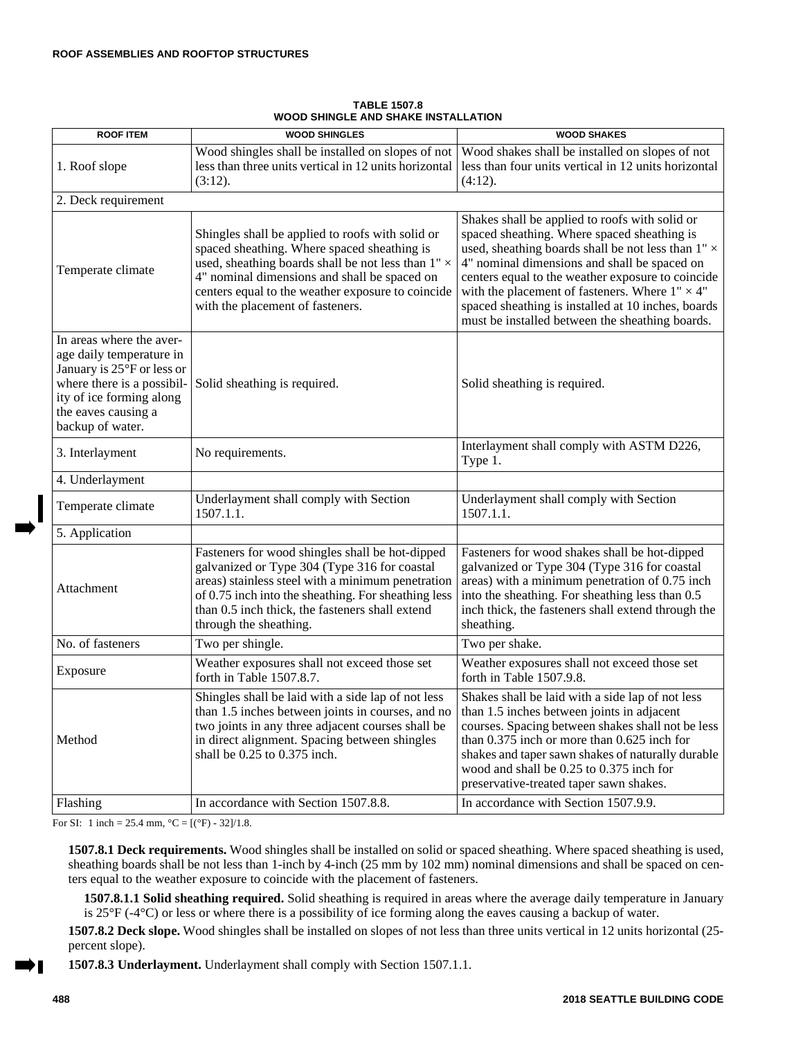| <b>ROOF ITEM</b>                                                                                                                                                                        | <b>WOOD SHINGLES</b>                                                                                                                                                                                                                                                                                  | <b>WOOD SHAKES</b>                                                                                                                                                                                                                                                                                                                                                                                                                |
|-----------------------------------------------------------------------------------------------------------------------------------------------------------------------------------------|-------------------------------------------------------------------------------------------------------------------------------------------------------------------------------------------------------------------------------------------------------------------------------------------------------|-----------------------------------------------------------------------------------------------------------------------------------------------------------------------------------------------------------------------------------------------------------------------------------------------------------------------------------------------------------------------------------------------------------------------------------|
| 1. Roof slope                                                                                                                                                                           | Wood shingles shall be installed on slopes of not<br>less than three units vertical in 12 units horizontal<br>(3:12).                                                                                                                                                                                 | Wood shakes shall be installed on slopes of not<br>less than four units vertical in 12 units horizontal<br>(4:12).                                                                                                                                                                                                                                                                                                                |
| 2. Deck requirement                                                                                                                                                                     |                                                                                                                                                                                                                                                                                                       |                                                                                                                                                                                                                                                                                                                                                                                                                                   |
| Temperate climate                                                                                                                                                                       | Shingles shall be applied to roofs with solid or<br>spaced sheathing. Where spaced sheathing is<br>used, sheathing boards shall be not less than $1" \times$<br>4" nominal dimensions and shall be spaced on<br>centers equal to the weather exposure to coincide<br>with the placement of fasteners. | Shakes shall be applied to roofs with solid or<br>spaced sheathing. Where spaced sheathing is<br>used, sheathing boards shall be not less than $1" \times$<br>4" nominal dimensions and shall be spaced on<br>centers equal to the weather exposure to coincide<br>with the placement of fasteners. Where $1" \times 4"$<br>spaced sheathing is installed at 10 inches, boards<br>must be installed between the sheathing boards. |
| In areas where the aver-<br>age daily temperature in<br>January is 25°F or less or<br>where there is a possibil-<br>ity of ice forming along<br>the eaves causing a<br>backup of water. | Solid sheathing is required.                                                                                                                                                                                                                                                                          | Solid sheathing is required.                                                                                                                                                                                                                                                                                                                                                                                                      |
| 3. Interlayment                                                                                                                                                                         | No requirements.                                                                                                                                                                                                                                                                                      | Interlayment shall comply with ASTM D226,<br>Type 1.                                                                                                                                                                                                                                                                                                                                                                              |
| 4. Underlayment                                                                                                                                                                         |                                                                                                                                                                                                                                                                                                       |                                                                                                                                                                                                                                                                                                                                                                                                                                   |
| Temperate climate                                                                                                                                                                       | Underlayment shall comply with Section<br>1507.1.1.                                                                                                                                                                                                                                                   | Underlayment shall comply with Section<br>1507.1.1.                                                                                                                                                                                                                                                                                                                                                                               |
| 5. Application                                                                                                                                                                          |                                                                                                                                                                                                                                                                                                       |                                                                                                                                                                                                                                                                                                                                                                                                                                   |
| Attachment                                                                                                                                                                              | Fasteners for wood shingles shall be hot-dipped<br>galvanized or Type 304 (Type 316 for coastal<br>areas) stainless steel with a minimum penetration<br>of 0.75 inch into the sheathing. For sheathing less<br>than 0.5 inch thick, the fasteners shall extend<br>through the sheathing.              | Fasteners for wood shakes shall be hot-dipped<br>galvanized or Type 304 (Type 316 for coastal<br>areas) with a minimum penetration of 0.75 inch<br>into the sheathing. For sheathing less than 0.5<br>inch thick, the fasteners shall extend through the<br>sheathing.                                                                                                                                                            |
| No. of fasteners                                                                                                                                                                        | Two per shingle.                                                                                                                                                                                                                                                                                      | Two per shake.                                                                                                                                                                                                                                                                                                                                                                                                                    |
| Exposure                                                                                                                                                                                | Weather exposures shall not exceed those set<br>forth in Table 1507.8.7.                                                                                                                                                                                                                              | Weather exposures shall not exceed those set<br>forth in Table 1507.9.8.                                                                                                                                                                                                                                                                                                                                                          |
| Method                                                                                                                                                                                  | Shingles shall be laid with a side lap of not less<br>than 1.5 inches between joints in courses, and no<br>two joints in any three adjacent courses shall be<br>in direct alignment. Spacing between shingles<br>shall be 0.25 to 0.375 inch.                                                         | Shakes shall be laid with a side lap of not less<br>than 1.5 inches between joints in adjacent<br>courses. Spacing between shakes shall not be less<br>than 0.375 inch or more than 0.625 inch for<br>shakes and taper sawn shakes of naturally durable<br>wood and shall be 0.25 to 0.375 inch for<br>preservative-treated taper sawn shakes.                                                                                    |
| Flashing                                                                                                                                                                                | In accordance with Section 1507.8.8.                                                                                                                                                                                                                                                                  | In accordance with Section 1507.9.9.                                                                                                                                                                                                                                                                                                                                                                                              |

**TABLE 1507.8 WOOD SHINGLE AND SHAKE INSTALLATION**

For SI: 1 inch = 25.4 mm,  $^{\circ}C = [(^{\circ}F) - 32]/1.8$ .

**1507.8.1 Deck requirements.** Wood shingles shall be installed on solid or spaced sheathing. Where spaced sheathing is used, sheathing boards shall be not less than 1-inch by 4-inch (25 mm by 102 mm) nominal dimensions and shall be spaced on centers equal to the weather exposure to coincide with the placement of fasteners.

**1507.8.1.1 Solid sheathing required.** Solid sheathing is required in areas where the average daily temperature in January is 25°F (-4°C) or less or where there is a possibility of ice forming along the eaves causing a backup of water.

**1507.8.2 Deck slope.** Wood shingles shall be installed on slopes of not less than three units vertical in 12 units horizontal (25 percent slope).

**1507.8.3 Underlayment.** Underlayment shall comply with Section 1507.1.1.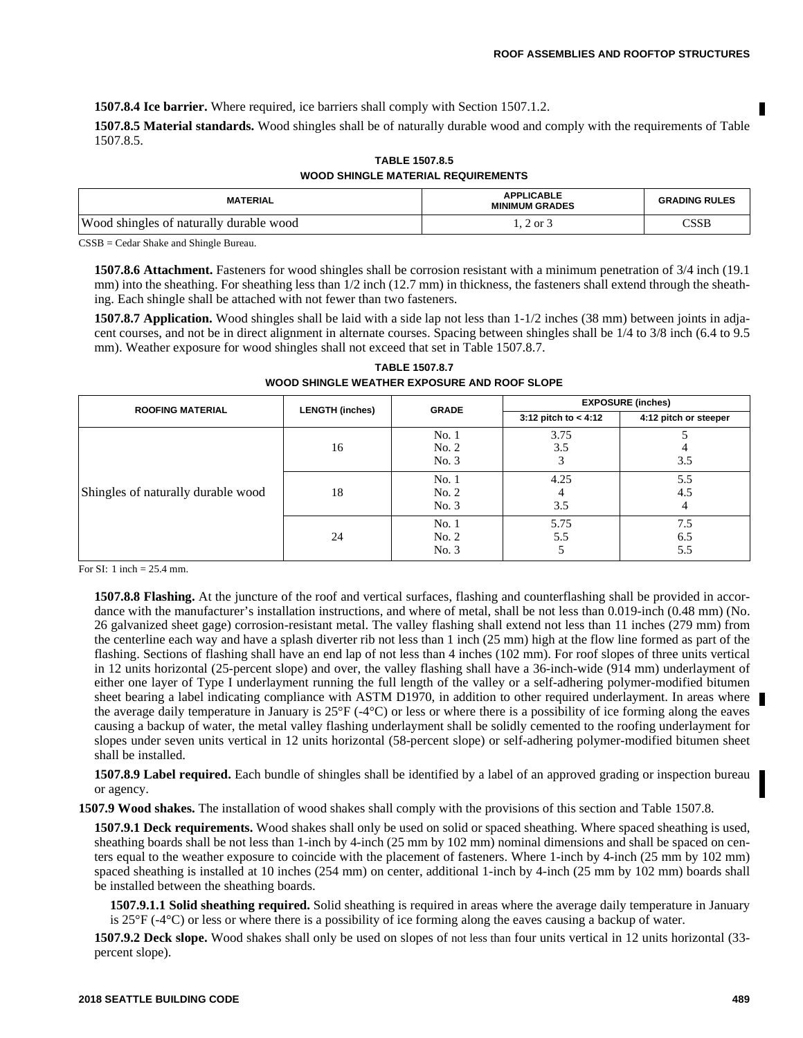**1507.8.4 Ice barrier.** Where required, ice barriers shall comply with Section 1507.1.2.

**1507.8.5 Material standards.** Wood shingles shall be of naturally durable wood and comply with the requirements of Table 1507.8.5.

| <b>WOOD SHINGLE MATERIAL REQUIREMENTS</b> |                                            |                      |
|-------------------------------------------|--------------------------------------------|----------------------|
| <b>MATERIAL</b>                           | <b>APPLICABLE</b><br><b>MINIMUM GRADES</b> | <b>GRADING RULES</b> |
| Wood shingles of naturally durable wood   | $1, 2 \text{ or } 3$                       | CSSB                 |

**TABLE 1507.8.5**

CSSB = Cedar Shake and Shingle Bureau.

**1507.8.6 Attachment.** Fasteners for wood shingles shall be corrosion resistant with a minimum penetration of 3/4 inch (19.1 mm) into the sheathing. For sheathing less than  $1/2$  inch (12.7 mm) in thickness, the fasteners shall extend through the sheathing. Each shingle shall be attached with not fewer than two fasteners.

**1507.8.7 Application.** Wood shingles shall be laid with a side lap not less than  $1-1/2$  inches (38 mm) between joints in adjacent courses, and not be in direct alignment in alternate courses. Spacing between shingles shall be 1/4 to 3/8 inch (6.4 to 9.5 mm). Weather exposure for wood shingles shall not exceed that set in Table 1507.8.7.

| <b>ROOFING MATERIAL</b>            | <b>LENGTH (inches)</b> | <b>GRADE</b>            | <b>EXPOSURE (inches)</b> |                       |
|------------------------------------|------------------------|-------------------------|--------------------------|-----------------------|
|                                    |                        |                         | 3:12 pitch to $< 4:12$   | 4:12 pitch or steeper |
|                                    | 16                     | No.1<br>No. 2<br>No. 3  | 3.75<br>3.5              | 3.5                   |
| Shingles of naturally durable wood | 18                     | No.1<br>No. 2<br>No. 3  | 4.25<br>4<br>3.5         | 5.5<br>4.5<br>4       |
|                                    | 24                     | No. 1<br>No. 2<br>No. 3 | 5.75<br>5.5              | 7.5<br>6.5<br>5.5     |

**TABLE 1507.8.7 WOOD SHINGLE WEATHER EXPOSURE AND ROOF SLOPE**

For SI: 1 inch = 25.4 mm.

**1507.8.8 Flashing.** At the juncture of the roof and vertical surfaces, flashing and counterflashing shall be provided in accordance with the manufacturer's installation instructions, and where of metal, shall be not less than 0.019-inch (0.48 mm) (No. 26 galvanized sheet gage) corrosion-resistant metal. The valley flashing shall extend not less than 11 inches (279 mm) from the centerline each way and have a splash diverter rib not less than 1 inch (25 mm) high at the flow line formed as part of the flashing. Sections of flashing shall have an end lap of not less than 4 inches (102 mm). For roof slopes of three units vertical in 12 units horizontal (25-percent slope) and over, the valley flashing shall have a 36-inch-wide (914 mm) underlayment of either one layer of Type I underlayment running the full length of the valley or a self-adhering polymer-modified bitumen sheet bearing a label indicating compliance with ASTM D1970, in addition to other required underlayment. In areas where the average daily temperature in January is  $25^{\circ}F$  (-4 $^{\circ}C$ ) or less or where there is a possibility of ice forming along the eaves causing a backup of water, the metal valley flashing underlayment shall be solidly cemented to the roofing underlayment for slopes under seven units vertical in 12 units horizontal (58-percent slope) or self-adhering polymer-modified bitumen sheet shall be installed.

**1507.8.9 Label required.** Each bundle of shingles shall be identified by a label of an approved grading or inspection bureau or agency.

**1507.9 Wood shakes.** The installation of wood shakes shall comply with the provisions of this section and Table 1507.8.

**1507.9.1 Deck requirements.** Wood shakes shall only be used on solid or spaced sheathing. Where spaced sheathing is used, sheathing boards shall be not less than 1-inch by 4-inch (25 mm by 102 mm) nominal dimensions and shall be spaced on centers equal to the weather exposure to coincide with the placement of fasteners. Where 1-inch by 4-inch (25 mm by 102 mm) spaced sheathing is installed at 10 inches (254 mm) on center, additional 1-inch by 4-inch (25 mm by 102 mm) boards shall be installed between the sheathing boards.

**1507.9.1.1 Solid sheathing required.** Solid sheathing is required in areas where the average daily temperature in January is 25°F (-4°C) or less or where there is a possibility of ice forming along the eaves causing a backup of water.

**1507.9.2 Deck slope.** Wood shakes shall only be used on slopes of not less than four units vertical in 12 units horizontal (33 percent slope).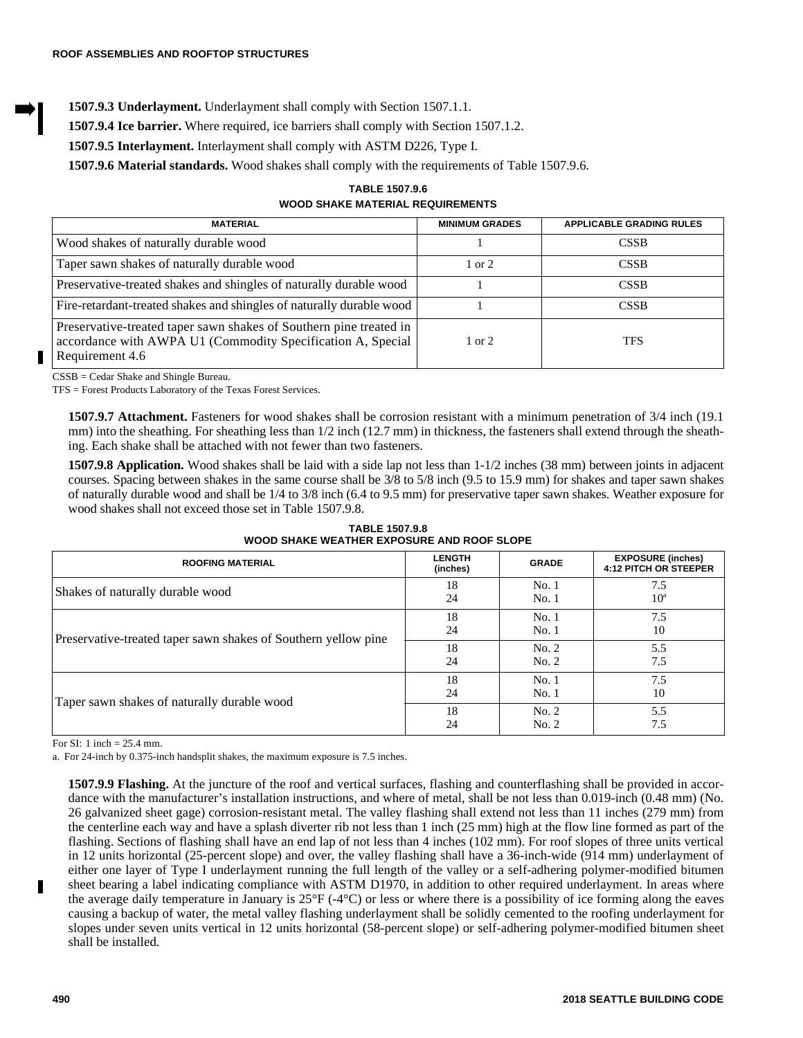## **1507.9.3 Underlayment.** Underlayment shall comply with Section 1507.1.1.

**1507.9.4 Ice barrier.** Where required, ice barriers shall comply with Section 1507.1.2.

**1507.9.5 Interlayment.** Interlayment shall comply with ASTM D226, Type I.

**1507.9.6 Material standards.** Wood shakes shall comply with the requirements of Table 1507.9.6.

**TABLE 1507.9.6 WOOD SHAKE MATERIAL REQUIREMENTS** 

| <b>MATERIAL</b>                                                                                                                                      | <b>MINIMUM GRADES</b> | <b>APPLICABLE GRADING RULES</b> |
|------------------------------------------------------------------------------------------------------------------------------------------------------|-----------------------|---------------------------------|
| Wood shakes of naturally durable wood                                                                                                                |                       | <b>CSSB</b>                     |
| Taper sawn shakes of naturally durable wood                                                                                                          | $1 \text{ or } 2$     | <b>CSSB</b>                     |
| Preservative-treated shakes and shingles of naturally durable wood                                                                                   |                       | <b>CSSB</b>                     |
| Fire-retardant-treated shakes and shingles of naturally durable wood                                                                                 |                       | <b>CSSB</b>                     |
| Preservative-treated taper sawn shakes of Southern pine treated in<br>accordance with AWPA U1 (Commodity Specification A, Special<br>Requirement 4.6 | $1 \text{ or } 2$     | <b>TFS</b>                      |

CSSB = Cedar Shake and Shingle Bureau.

TFS = Forest Products Laboratory of the Texas Forest Services.

**1507.9.7 Attachment.** Fasteners for wood shakes shall be corrosion resistant with a minimum penetration of 3/4 inch (19.1 mm) into the sheathing. For sheathing less than  $1/2$  inch (12.7 mm) in thickness, the fasteners shall extend through the sheathing. Each shake shall be attached with not fewer than two fasteners.

**1507.9.8 Application.** Wood shakes shall be laid with a side lap not less than 1-1/2 inches (38 mm) between joints in adjacent courses. Spacing between shakes in the same course shall be 3/8 to 5/8 inch (9.5 to 15.9 mm) for shakes and taper sawn shakes of naturally durable wood and shall be 1/4 to 3/8 inch (6.4 to 9.5 mm) for preservative taper sawn shakes. Weather exposure for wood shakes shall not exceed those set in Table 1507.9.8.

**TABLE 1507.9.8 WOOD SHAKE WEATHER EXPOSURE AND ROOF SLOPE**

| <b>ROOFING MATERIAL</b>                                        | <b>LENGTH</b><br>(inches) | <b>GRADE</b>   | <b>EXPOSURE (inches)</b><br><b>4:12 PITCH OR STEEPER</b> |
|----------------------------------------------------------------|---------------------------|----------------|----------------------------------------------------------|
| Shakes of naturally durable wood                               | 18<br>24                  | No.1<br>No.1   | 7.5<br>$10^a$                                            |
| Preservative-treated taper sawn shakes of Southern yellow pine | 18<br>24                  | No.1<br>No.1   | 7.5<br>10                                                |
|                                                                | 18<br>24                  | No. 2<br>No. 2 | 5.5<br>7.5                                               |
| Taper sawn shakes of naturally durable wood                    | 18<br>24                  | No.1<br>No.1   | 7.5<br>10                                                |
|                                                                | 18<br>24                  | No. 2<br>No. 2 | 5.5<br>7.5                                               |

For SI: 1 inch = 25.4 mm.

a. For 24-inch by 0.375-inch handsplit shakes, the maximum exposure is 7.5 inches.

**1507.9.9 Flashing.** At the juncture of the roof and vertical surfaces, flashing and counterflashing shall be provided in accordance with the manufacturer's installation instructions, and where of metal, shall be not less than 0.019-inch (0.48 mm) (No. 26 galvanized sheet gage) corrosion-resistant metal. The valley flashing shall extend not less than 11 inches (279 mm) from the centerline each way and have a splash diverter rib not less than 1 inch (25 mm) high at the flow line formed as part of the flashing. Sections of flashing shall have an end lap of not less than 4 inches (102 mm). For roof slopes of three units vertical in 12 units horizontal (25-percent slope) and over, the valley flashing shall have a 36-inch-wide (914 mm) underlayment of either one layer of Type I underlayment running the full length of the valley or a self-adhering polymer-modified bitumen sheet bearing a label indicating compliance with ASTM D1970, in addition to other required underlayment. In areas where the average daily temperature in January is  $25^{\circ}F$  (-4 $^{\circ}C$ ) or less or where there is a possibility of ice forming along the eaves causing a backup of water, the metal valley flashing underlayment shall be solidly cemented to the roofing underlayment for slopes under seven units vertical in 12 units horizontal (58-percent slope) or self-adhering polymer-modified bitumen sheet shall be installed.

Г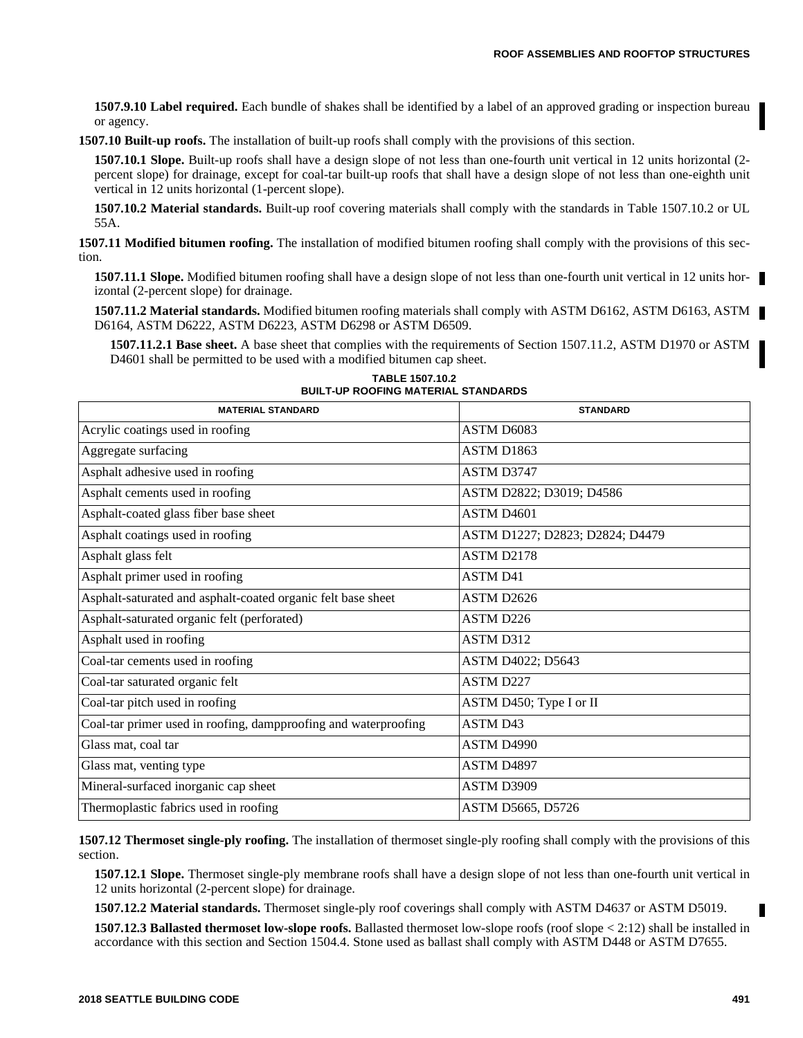**1507.9.10 Label required.** Each bundle of shakes shall be identified by a label of an approved grading or inspection bureau or agency.

**1507.10 Built-up roofs.** The installation of built-up roofs shall comply with the provisions of this section.

**1507.10.1 Slope.** Built-up roofs shall have a design slope of not less than one-fourth unit vertical in 12 units horizontal (2 percent slope) for drainage, except for coal-tar built-up roofs that shall have a design slope of not less than one-eighth unit vertical in 12 units horizontal (1-percent slope).

**1507.10.2 Material standards.** Built-up roof covering materials shall comply with the standards in Table 1507.10.2 or UL 55A.

**1507.11 Modified bitumen roofing.** The installation of modified bitumen roofing shall comply with the provisions of this section.

**1507.11.1 Slope.** Modified bitumen roofing shall have a design slope of not less than one-fourth unit vertical in 12 units horizontal (2-percent slope) for drainage.

**1507.11.2 Material standards.** Modified bitumen roofing materials shall comply with ASTM D6162, ASTM D6163, ASTM D6164, ASTM D6222, ASTM D6223, ASTM D6298 or ASTM D6509.

**1507.11.2.1 Base sheet.** A base sheet that complies with the requirements of Section 1507.11.2, ASTM D1970 or ASTM D4601 shall be permitted to be used with a modified bitumen cap sheet.

| <b>MATERIAL STANDARD</b>                                        | <b>STANDARD</b>                 |
|-----------------------------------------------------------------|---------------------------------|
| Acrylic coatings used in roofing                                | ASTM D6083                      |
| Aggregate surfacing                                             | ASTM D1863                      |
| Asphalt adhesive used in roofing                                | ASTM D3747                      |
| Asphalt cements used in roofing                                 | ASTM D2822; D3019; D4586        |
| Asphalt-coated glass fiber base sheet                           | <b>ASTM D4601</b>               |
| Asphalt coatings used in roofing                                | ASTM D1227; D2823; D2824; D4479 |
| Asphalt glass felt                                              | ASTM D2178                      |
| Asphalt primer used in roofing                                  | <b>ASTM D41</b>                 |
| Asphalt-saturated and asphalt-coated organic felt base sheet    | ASTM D2626                      |
| Asphalt-saturated organic felt (perforated)                     | ASTM D226                       |
| Asphalt used in roofing                                         | <b>ASTM D312</b>                |
| Coal-tar cements used in roofing                                | ASTM D4022; D5643               |
| Coal-tar saturated organic felt                                 | <b>ASTM D227</b>                |
| Coal-tar pitch used in roofing                                  | ASTM D450; Type I or II         |
| Coal-tar primer used in roofing, dampproofing and waterproofing | <b>ASTM D43</b>                 |
| Glass mat, coal tar                                             | ASTM D4990                      |
| Glass mat, venting type                                         | ASTM D4897                      |
| Mineral-surfaced inorganic cap sheet                            | ASTM D3909                      |
| Thermoplastic fabrics used in roofing                           | ASTM D5665, D5726               |

**TABLE 1507.10.2 BUILT-UP ROOFING MATERIAL STANDARDS**

**1507.12 Thermoset single-ply roofing.** The installation of thermoset single-ply roofing shall comply with the provisions of this section.

**1507.12.1 Slope.** Thermoset single-ply membrane roofs shall have a design slope of not less than one-fourth unit vertical in 12 units horizontal (2-percent slope) for drainage.

**1507.12.2 Material standards.** Thermoset single-ply roof coverings shall comply with ASTM D4637 or ASTM D5019.

**1507.12.3 Ballasted thermoset low-slope roofs.** Ballasted thermoset low-slope roofs (roof slope < 2:12) shall be installed in accordance with this section and Section 1504.4. Stone used as ballast shall comply with ASTM D448 or ASTM D7655.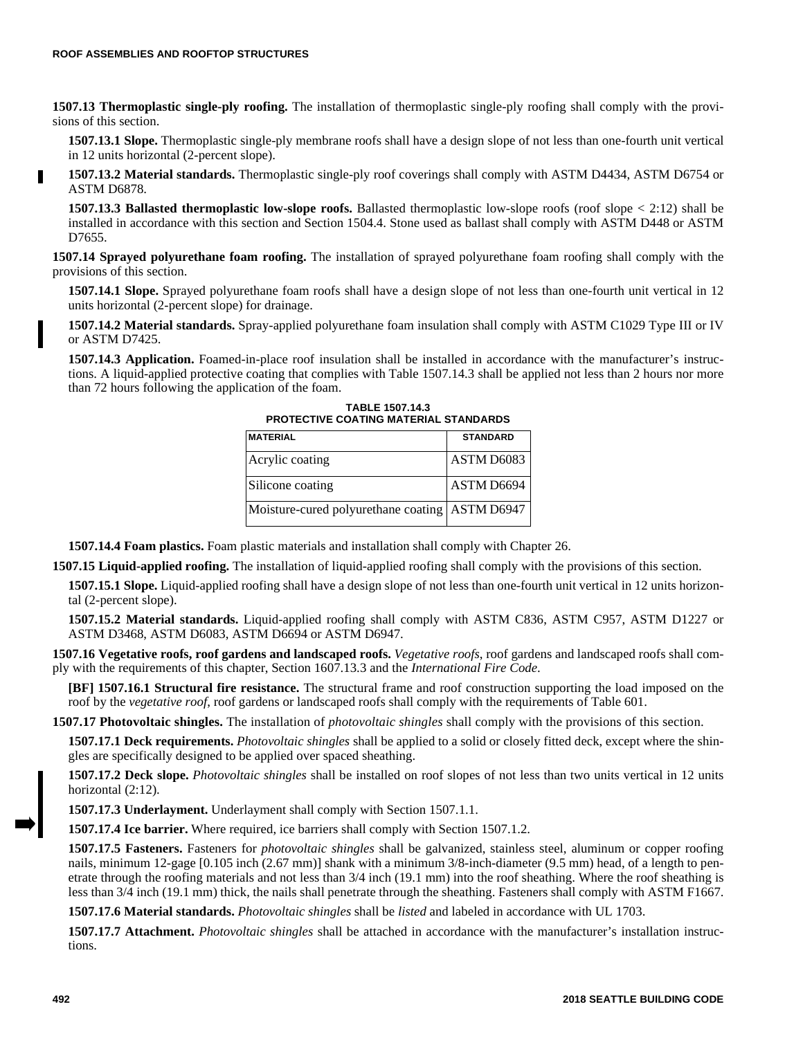**1507.13 Thermoplastic single-ply roofing.** The installation of thermoplastic single-ply roofing shall comply with the provisions of this section.

**1507.13.1 Slope.** Thermoplastic single-ply membrane roofs shall have a design slope of not less than one-fourth unit vertical in 12 units horizontal (2-percent slope).

**1507.13.2 Material standards.** Thermoplastic single-ply roof coverings shall comply with ASTM D4434, ASTM D6754 or ASTM D6878.

**1507.13.3 Ballasted thermoplastic low-slope roofs.** Ballasted thermoplastic low-slope roofs (roof slope < 2:12) shall be installed in accordance with this section and Section 1504.4. Stone used as ballast shall comply with ASTM D448 or ASTM D7655.

**1507.14 Sprayed polyurethane foam roofing.** The installation of sprayed polyurethane foam roofing shall comply with the provisions of this section.

**1507.14.1 Slope.** Sprayed polyurethane foam roofs shall have a design slope of not less than one-fourth unit vertical in 12 units horizontal (2-percent slope) for drainage.

**1507.14.2 Material standards.** Spray-applied polyurethane foam insulation shall comply with ASTM C1029 Type III or IV or ASTM D7425.

**1507.14.3 Application.** Foamed-in-place roof insulation shall be installed in accordance with the manufacturer's instructions. A liquid-applied protective coating that complies with Table 1507.14.3 shall be applied not less than 2 hours nor more than 72 hours following the application of the foam.

**TABLE 1507.14.3 PROTECTIVE COATING MATERIAL STANDARDS**

| <b>MATERIAL</b>                                  | <b>STANDARD</b> |
|--------------------------------------------------|-----------------|
| Acrylic coating                                  | ASTM D6083      |
| Silicone coating                                 | ASTM D6694      |
| Moisture-cured polyurethane coating   ASTM D6947 |                 |

**1507.14.4 Foam plastics.** Foam plastic materials and installation shall comply with Chapter 26.

**1507.15 Liquid-applied roofing.** The installation of liquid-applied roofing shall comply with the provisions of this section.

**1507.15.1 Slope.** Liquid-applied roofing shall have a design slope of not less than one-fourth unit vertical in 12 units horizontal (2-percent slope).

**1507.15.2 Material standards.** Liquid-applied roofing shall comply with ASTM C836, ASTM C957, ASTM D1227 or ASTM D3468, ASTM D6083, ASTM D6694 or ASTM D6947.

**1507.16 Vegetative roofs, roof gardens and landscaped roofs.** *Vegetative roofs*, roof gardens and landscaped roofs shall comply with the requirements of this chapter, Section 1607.13.3 and the *International Fire Code*.

**[BF] 1507.16.1 Structural fire resistance.** The structural frame and roof construction supporting the load imposed on the roof by the *vegetative roof*, roof gardens or landscaped roofs shall comply with the requirements of Table 601.

**1507.17 Photovoltaic shingles.** The installation of *photovoltaic shingles* shall comply with the provisions of this section.

**1507.17.1 Deck requirements.** *Photovoltaic shingles* shall be applied to a solid or closely fitted deck, except where the shingles are specifically designed to be applied over spaced sheathing.

**1507.17.2 Deck slope.** *Photovoltaic shingles* shall be installed on roof slopes of not less than two units vertical in 12 units horizontal  $(2:12)$ .

**1507.17.3 Underlayment.** Underlayment shall comply with Section 1507.1.1.

**1507.17.4 Ice barrier.** Where required, ice barriers shall comply with Section 1507.1.2.

**1507.17.5 Fasteners.** Fasteners for *photovoltaic shingles* shall be galvanized, stainless steel, aluminum or copper roofing nails, minimum 12-gage [0.105 inch (2.67 mm)] shank with a minimum 3/8-inch-diameter (9.5 mm) head, of a length to penetrate through the roofing materials and not less than 3/4 inch (19.1 mm) into the roof sheathing. Where the roof sheathing is less than 3/4 inch (19.1 mm) thick, the nails shall penetrate through the sheathing. Fasteners shall comply with ASTM F1667.

**1507.17.6 Material standards.** *Photovoltaic shingles* shall be *listed* and labeled in accordance with UL 1703.

**1507.17.7 Attachment.** *Photovoltaic shingles* shall be attached in accordance with the manufacturer's installation instructions.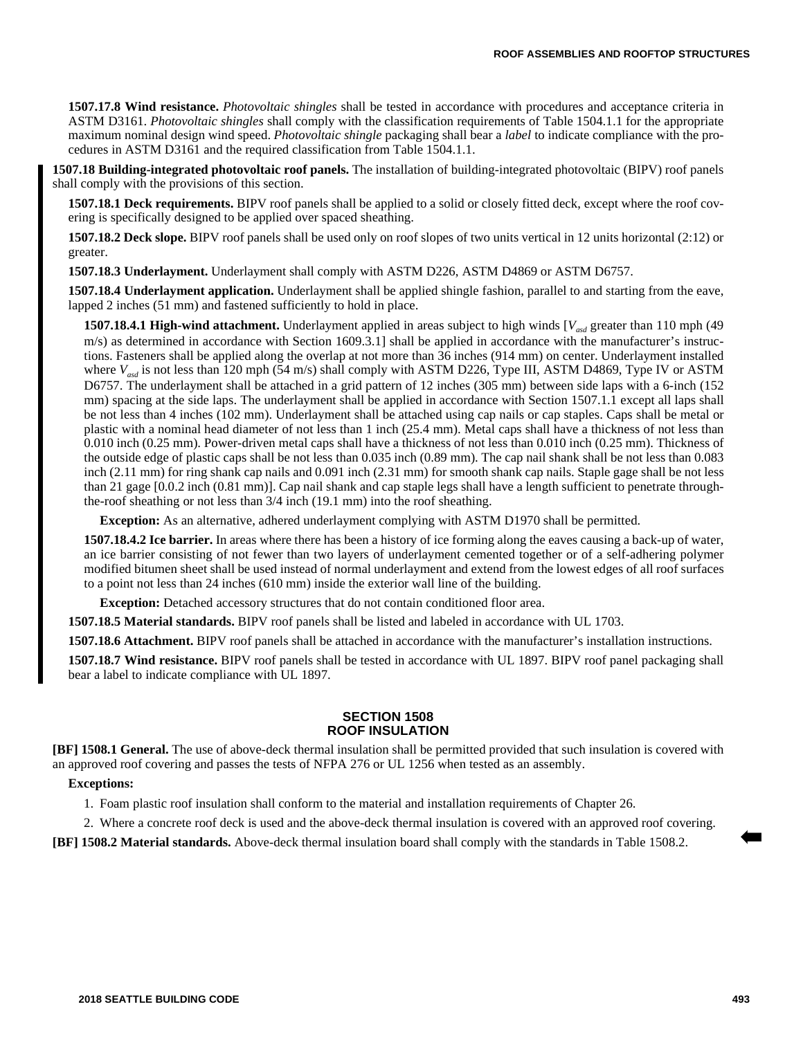**1507.17.8 Wind resistance.** *Photovoltaic shingles* shall be tested in accordance with procedures and acceptance criteria in ASTM D3161. *Photovoltaic shingles* shall comply with the classification requirements of Table 1504.1.1 for the appropriate maximum nominal design wind speed. *Photovoltaic shingle* packaging shall bear a *label* to indicate compliance with the procedures in ASTM D3161 and the required classification from Table 1504.1.1.

**1507.18 Building-integrated photovoltaic roof panels.** The installation of building-integrated photovoltaic (BIPV) roof panels shall comply with the provisions of this section.

**1507.18.1 Deck requirements.** BIPV roof panels shall be applied to a solid or closely fitted deck, except where the roof covering is specifically designed to be applied over spaced sheathing.

**1507.18.2 Deck slope.** BIPV roof panels shall be used only on roof slopes of two units vertical in 12 units horizontal (2:12) or greater.

**1507.18.3 Underlayment.** Underlayment shall comply with ASTM D226, ASTM D4869 or ASTM D6757.

**1507.18.4 Underlayment application.** Underlayment shall be applied shingle fashion, parallel to and starting from the eave, lapped 2 inches (51 mm) and fastened sufficiently to hold in place.

**1507.18.4.1 High-wind attachment.** Underlayment applied in areas subject to high winds [ $V_{ad}$  greater than 110 mph (49) m/s) as determined in accordance with Section 1609.3.1] shall be applied in accordance with the manufacturer's instructions. Fasteners shall be applied along the overlap at not more than 36 inches (914 mm) on center. Underlayment installed where  $V_{\text{avd}}$  is not less than 120 mph (54 m/s) shall comply with ASTM D226, Type III, ASTM D4869, Type IV or ASTM D6757. The underlayment shall be attached in a grid pattern of 12 inches (305 mm) between side laps with a 6-inch (152 mm) spacing at the side laps. The underlayment shall be applied in accordance with Section 1507.1.1 except all laps shall be not less than 4 inches (102 mm). Underlayment shall be attached using cap nails or cap staples. Caps shall be metal or plastic with a nominal head diameter of not less than 1 inch (25.4 mm). Metal caps shall have a thickness of not less than 0.010 inch (0.25 mm). Power-driven metal caps shall have a thickness of not less than 0.010 inch (0.25 mm). Thickness of the outside edge of plastic caps shall be not less than 0.035 inch (0.89 mm). The cap nail shank shall be not less than 0.083 inch (2.11 mm) for ring shank cap nails and 0.091 inch (2.31 mm) for smooth shank cap nails. Staple gage shall be not less than 21 gage [0.0.2 inch (0.81 mm)]. Cap nail shank and cap staple legs shall have a length sufficient to penetrate throughthe-roof sheathing or not less than 3/4 inch (19.1 mm) into the roof sheathing.

**Exception:** As an alternative, adhered underlayment complying with ASTM D1970 shall be permitted.

**1507.18.4.2 Ice barrier.** In areas where there has been a history of ice forming along the eaves causing a back-up of water, an ice barrier consisting of not fewer than two layers of underlayment cemented together or of a self-adhering polymer modified bitumen sheet shall be used instead of normal underlayment and extend from the lowest edges of all roof surfaces to a point not less than 24 inches (610 mm) inside the exterior wall line of the building.

**Exception:** Detached accessory structures that do not contain conditioned floor area.

**1507.18.5 Material standards.** BIPV roof panels shall be listed and labeled in accordance with UL 1703.

**1507.18.6 Attachment.** BIPV roof panels shall be attached in accordance with the manufacturer's installation instructions.

**1507.18.7 Wind resistance.** BIPV roof panels shall be tested in accordance with UL 1897. BIPV roof panel packaging shall bear a label to indicate compliance with UL 1897.

#### **SECTION 1508 ROOF INSULATION**

**[BF] 1508.1 General.** The use of above-deck thermal insulation shall be permitted provided that such insulation is covered with an approved roof covering and passes the tests of NFPA 276 or UL 1256 when tested as an assembly.

#### **Exceptions:**

1. Foam plastic roof insulation shall conform to the material and installation requirements of Chapter 26.

2. Where a concrete roof deck is used and the above-deck thermal insulation is covered with an approved roof covering.

**[BF] 1508.2 Material standards.** Above-deck thermal insulation board shall comply with the standards in Table 1508.2.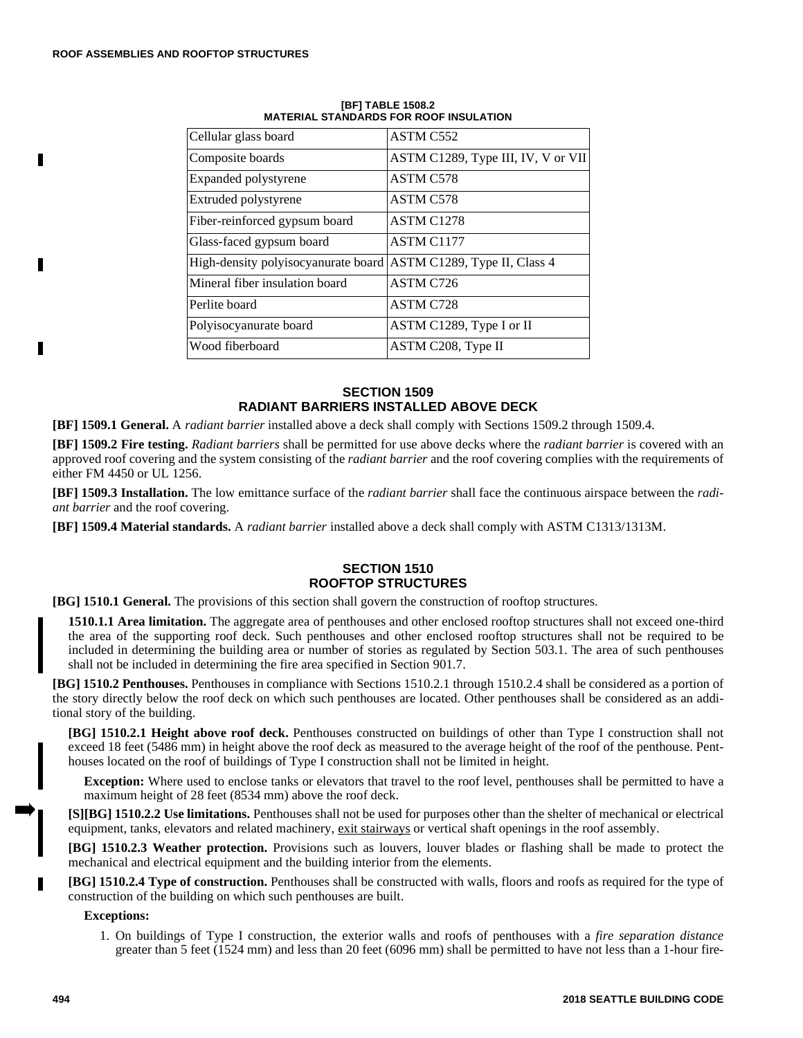п

Г

г

| Cellular glass board                                             | ASTM C552                          |
|------------------------------------------------------------------|------------------------------------|
| Composite boards                                                 | ASTM C1289, Type III, IV, V or VII |
| Expanded polystyrene                                             | <b>ASTM C578</b>                   |
| Extruded polystyrene                                             | <b>ASTM C578</b>                   |
| Fiber-reinforced gypsum board                                    | <b>ASTM C1278</b>                  |
| Glass-faced gypsum board                                         | ASTM C1177                         |
| High-density polyisocyanurate board ASTM C1289, Type II, Class 4 |                                    |
| Mineral fiber insulation board                                   | ASTM C726                          |
| Perlite board                                                    | <b>ASTM C728</b>                   |
| Polyisocyanurate board                                           | ASTM C1289, Type I or II           |
| Wood fiberboard                                                  | ASTM C208, Type II                 |

#### **[BF] TABLE 1508.2 MATERIAL STANDARDS FOR ROOF INSULATION**

## **SECTION 1509 RADIANT BARRIERS INSTALLED ABOVE DECK**

**[BF] 1509.1 General.** A *radiant barrier* installed above a deck shall comply with Sections 1509.2 through 1509.4.

**[BF] 1509.2 Fire testing.** *Radiant barriers* shall be permitted for use above decks where the *radiant barrier* is covered with an approved roof covering and the system consisting of the *radiant barrier* and the roof covering complies with the requirements of either FM 4450 or UL 1256.

**[BF] 1509.3 Installation.** The low emittance surface of the *radiant barrier* shall face the continuous airspace between the *radiant barrier* and the roof covering.

**[BF] 1509.4 Material standards.** A *radiant barrier* installed above a deck shall comply with ASTM C1313/1313M.

## **SECTION 1510 ROOFTOP STRUCTURES**

**[BG] 1510.1 General.** The provisions of this section shall govern the construction of rooftop structures.

**1510.1.1 Area limitation.** The aggregate area of penthouses and other enclosed rooftop structures shall not exceed one-third the area of the supporting roof deck. Such penthouses and other enclosed rooftop structures shall not be required to be included in determining the building area or number of stories as regulated by Section 503.1. The area of such penthouses shall not be included in determining the fire area specified in Section 901.7.

**[BG] 1510.2 Penthouses.** Penthouses in compliance with Sections 1510.2.1 through 1510.2.4 shall be considered as a portion of the story directly below the roof deck on which such penthouses are located. Other penthouses shall be considered as an additional story of the building.

**[BG] 1510.2.1 Height above roof deck.** Penthouses constructed on buildings of other than Type I construction shall not exceed 18 feet (5486 mm) in height above the roof deck as measured to the average height of the roof of the penthouse. Penthouses located on the roof of buildings of Type I construction shall not be limited in height.

**Exception:** Where used to enclose tanks or elevators that travel to the roof level, penthouses shall be permitted to have a maximum height of 28 feet (8534 mm) above the roof deck.

**[S][BG] 1510.2.2 Use limitations.** Penthouses shall not be used for purposes other than the shelter of mechanical or electrical equipment, tanks, elevators and related machinery, exit stairways or vertical shaft openings in the roof assembly.

**[BG] 1510.2.3 Weather protection.** Provisions such as louvers, louver blades or flashing shall be made to protect the mechanical and electrical equipment and the building interior from the elements.

**[BG] 1510.2.4 Type of construction.** Penthouses shall be constructed with walls, floors and roofs as required for the type of construction of the building on which such penthouses are built.

#### **Exceptions:**

1. On buildings of Type I construction, the exterior walls and roofs of penthouses with a *fire separation distance* greater than 5 feet (1524 mm) and less than 20 feet (6096 mm) shall be permitted to have not less than a 1-hour fire-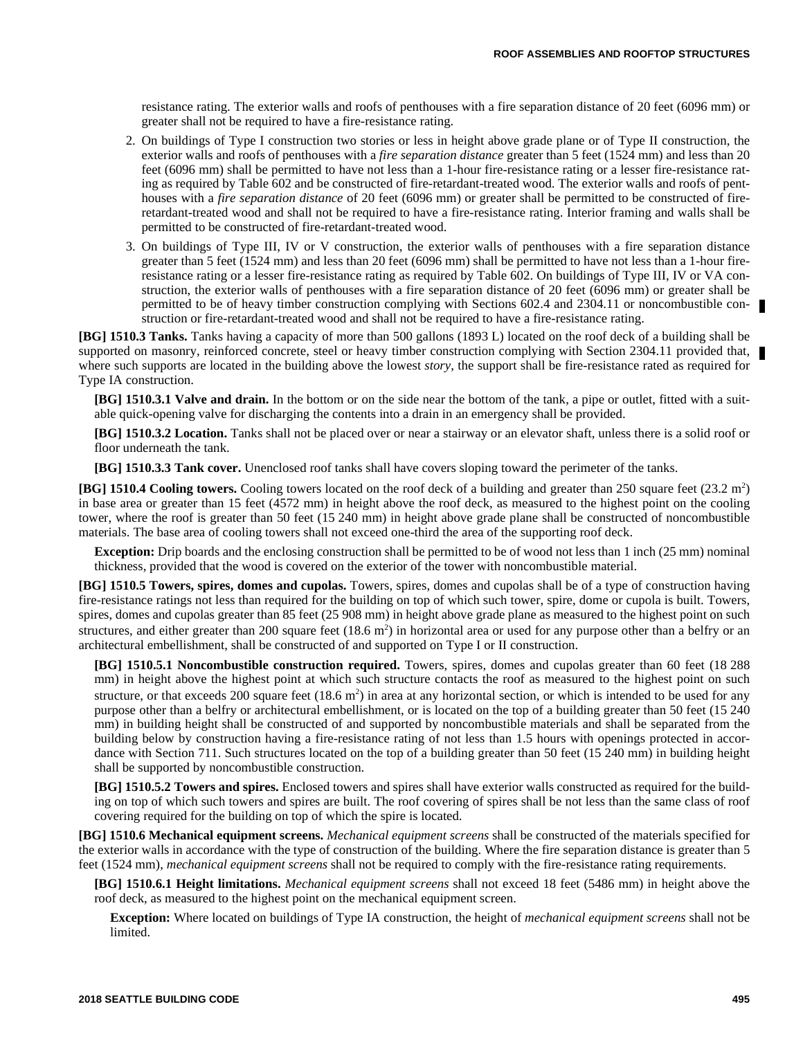resistance rating. The exterior walls and roofs of penthouses with a fire separation distance of 20 feet (6096 mm) or greater shall not be required to have a fire-resistance rating.

- 2. On buildings of Type I construction two stories or less in height above grade plane or of Type II construction, the exterior walls and roofs of penthouses with a *fire separation distance* greater than 5 feet (1524 mm) and less than 20 feet (6096 mm) shall be permitted to have not less than a 1-hour fire-resistance rating or a lesser fire-resistance rating as required by Table 602 and be constructed of fire-retardant-treated wood. The exterior walls and roofs of penthouses with a *fire separation distance* of 20 feet (6096 mm) or greater shall be permitted to be constructed of fireretardant-treated wood and shall not be required to have a fire-resistance rating. Interior framing and walls shall be permitted to be constructed of fire-retardant-treated wood.
- 3. On buildings of Type III, IV or V construction, the exterior walls of penthouses with a fire separation distance greater than 5 feet (1524 mm) and less than 20 feet (6096 mm) shall be permitted to have not less than a 1-hour fireresistance rating or a lesser fire-resistance rating as required by Table 602. On buildings of Type III, IV or VA construction, the exterior walls of penthouses with a fire separation distance of 20 feet (6096 mm) or greater shall be permitted to be of heavy timber construction complying with Sections 602.4 and 2304.11 or noncombustible construction or fire-retardant-treated wood and shall not be required to have a fire-resistance rating.

**[BG] 1510.3 Tanks.** Tanks having a capacity of more than 500 gallons (1893 L) located on the roof deck of a building shall be supported on masonry, reinforced concrete, steel or heavy timber construction complying with Section 2304.11 provided that, where such supports are located in the building above the lowest *story*, the support shall be fire-resistance rated as required for Type IA construction.

**[BG] 1510.3.1 Valve and drain.** In the bottom or on the side near the bottom of the tank, a pipe or outlet, fitted with a suitable quick-opening valve for discharging the contents into a drain in an emergency shall be provided.

**[BG] 1510.3.2 Location.** Tanks shall not be placed over or near a stairway or an elevator shaft, unless there is a solid roof or floor underneath the tank.

**[BG] 1510.3.3 Tank cover.** Unenclosed roof tanks shall have covers sloping toward the perimeter of the tanks.

[BG] 1510.4 Cooling towers. Cooling towers located on the roof deck of a building and greater than 250 square feet (23.2 m<sup>2</sup>) in base area or greater than 15 feet (4572 mm) in height above the roof deck, as measured to the highest point on the cooling tower, where the roof is greater than 50 feet (15 240 mm) in height above grade plane shall be constructed of noncombustible materials. The base area of cooling towers shall not exceed one-third the area of the supporting roof deck.

**Exception:** Drip boards and the enclosing construction shall be permitted to be of wood not less than 1 inch (25 mm) nominal thickness, provided that the wood is covered on the exterior of the tower with noncombustible material.

**[BG] 1510.5 Towers, spires, domes and cupolas.** Towers, spires, domes and cupolas shall be of a type of construction having fire-resistance ratings not less than required for the building on top of which such tower, spire, dome or cupola is built. Towers, spires, domes and cupolas greater than 85 feet (25 908 mm) in height above grade plane as measured to the highest point on such structures, and either greater than 200 square feet  $(18.6 \text{ m}^2)$  in horizontal area or used for any purpose other than a belfry or an architectural embellishment, shall be constructed of and supported on Type I or II construction.

**[BG] 1510.5.1 Noncombustible construction required.** Towers, spires, domes and cupolas greater than 60 feet (18 288 mm) in height above the highest point at which such structure contacts the roof as measured to the highest point on such structure, or that exceeds 200 square feet  $(18.6 \text{ m}^2)$  in area at any horizontal section, or which is intended to be used for any purpose other than a belfry or architectural embellishment, or is located on the top of a building greater than 50 feet (15 240 mm) in building height shall be constructed of and supported by noncombustible materials and shall be separated from the building below by construction having a fire-resistance rating of not less than 1.5 hours with openings protected in accordance with Section 711. Such structures located on the top of a building greater than 50 feet (15 240 mm) in building height shall be supported by noncombustible construction.

**[BG] 1510.5.2 Towers and spires.** Enclosed towers and spires shall have exterior walls constructed as required for the building on top of which such towers and spires are built. The roof covering of spires shall be not less than the same class of roof covering required for the building on top of which the spire is located.

**[BG] 1510.6 Mechanical equipment screens.** *Mechanical equipment screens* shall be constructed of the materials specified for the exterior walls in accordance with the type of construction of the building. Where the fire separation distance is greater than 5 feet (1524 mm), *mechanical equipment screens* shall not be required to comply with the fire-resistance rating requirements.

**[BG] 1510.6.1 Height limitations.** *Mechanical equipment screens* shall not exceed 18 feet (5486 mm) in height above the roof deck, as measured to the highest point on the mechanical equipment screen.

**Exception:** Where located on buildings of Type IA construction, the height of *mechanical equipment screens* shall not be limited.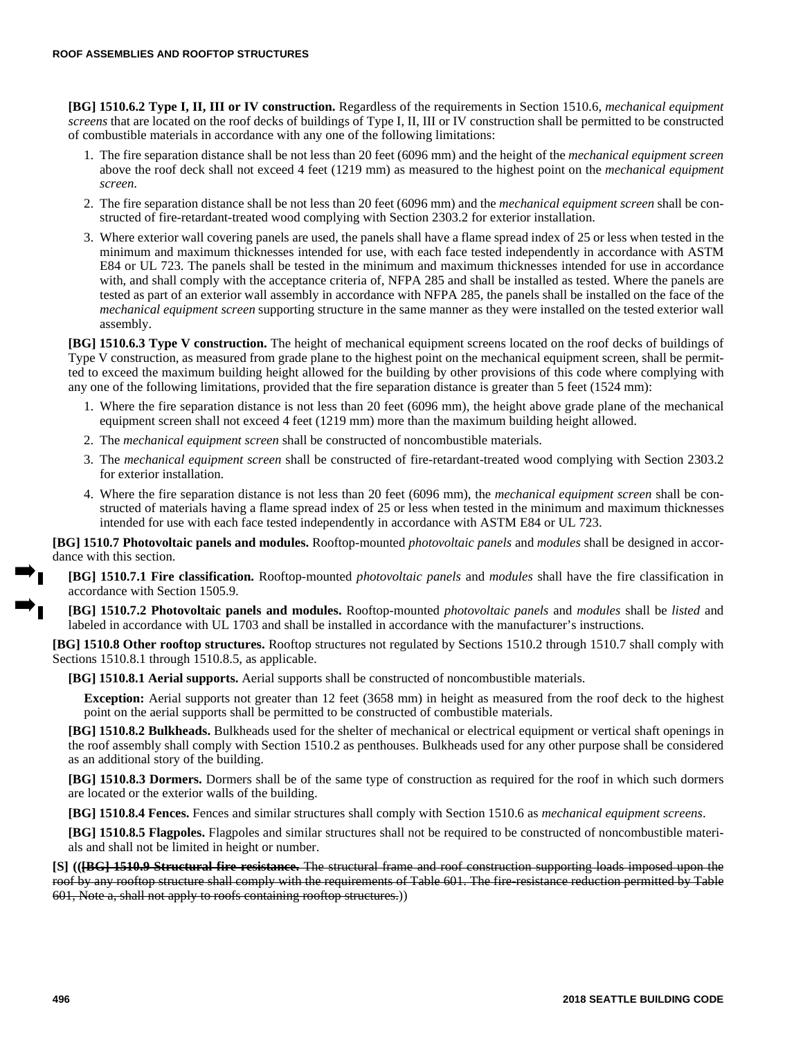**[BG] 1510.6.2 Type I, II, III or IV construction.** Regardless of the requirements in Section 1510.6, *mechanical equipment screens* that are located on the roof decks of buildings of Type I, II, III or IV construction shall be permitted to be constructed of combustible materials in accordance with any one of the following limitations:

- 1. The fire separation distance shall be not less than 20 feet (6096 mm) and the height of the *mechanical equipment screen* above the roof deck shall not exceed 4 feet (1219 mm) as measured to the highest point on the *mechanical equipment screen*.
- 2. The fire separation distance shall be not less than 20 feet (6096 mm) and the *mechanical equipment screen* shall be constructed of fire-retardant-treated wood complying with Section 2303.2 for exterior installation.
- 3. Where exterior wall covering panels are used, the panels shall have a flame spread index of 25 or less when tested in the minimum and maximum thicknesses intended for use, with each face tested independently in accordance with ASTM E84 or UL 723. The panels shall be tested in the minimum and maximum thicknesses intended for use in accordance with, and shall comply with the acceptance criteria of, NFPA 285 and shall be installed as tested. Where the panels are tested as part of an exterior wall assembly in accordance with NFPA 285, the panels shall be installed on the face of the *mechanical equipment screen* supporting structure in the same manner as they were installed on the tested exterior wall assembly.

**[BG] 1510.6.3 Type V construction.** The height of mechanical equipment screens located on the roof decks of buildings of Type V construction, as measured from grade plane to the highest point on the mechanical equipment screen, shall be permitted to exceed the maximum building height allowed for the building by other provisions of this code where complying with any one of the following limitations, provided that the fire separation distance is greater than 5 feet (1524 mm):

- 1. Where the fire separation distance is not less than 20 feet (6096 mm), the height above grade plane of the mechanical equipment screen shall not exceed 4 feet (1219 mm) more than the maximum building height allowed.
- 2. The *mechanical equipment screen* shall be constructed of noncombustible materials.
- 3. The *mechanical equipment screen* shall be constructed of fire-retardant-treated wood complying with Section 2303.2 for exterior installation.
- 4. Where the fire separation distance is not less than 20 feet (6096 mm), the *mechanical equipment screen* shall be constructed of materials having a flame spread index of 25 or less when tested in the minimum and maximum thicknesses intended for use with each face tested independently in accordance with ASTM E84 or UL 723.

**[BG] 1510.7 Photovoltaic panels and modules.** Rooftop-mounted *photovoltaic panels* and *modules* shall be designed in accordance with this section.

**[BG] 1510.7.1 Fire classification.** Rooftop-mounted *photovoltaic panels* and *modules* shall have the fire classification in accordance with Section 1505.9.

**[BG] 1510.7.2 Photovoltaic panels and modules.** Rooftop-mounted *photovoltaic panels* and *modules* shall be *listed* and labeled in accordance with UL 1703 and shall be installed in accordance with the manufacturer's instructions.

**[BG] 1510.8 Other rooftop structures.** Rooftop structures not regulated by Sections 1510.2 through 1510.7 shall comply with Sections 1510.8.1 through 1510.8.5, as applicable.

**[BG] 1510.8.1 Aerial supports.** Aerial supports shall be constructed of noncombustible materials.

**Exception:** Aerial supports not greater than 12 feet (3658 mm) in height as measured from the roof deck to the highest point on the aerial supports shall be permitted to be constructed of combustible materials.

**[BG] 1510.8.2 Bulkheads.** Bulkheads used for the shelter of mechanical or electrical equipment or vertical shaft openings in the roof assembly shall comply with Section 1510.2 as penthouses. Bulkheads used for any other purpose shall be considered as an additional story of the building.

**[BG] 1510.8.3 Dormers.** Dormers shall be of the same type of construction as required for the roof in which such dormers are located or the exterior walls of the building.

**[BG] 1510.8.4 Fences.** Fences and similar structures shall comply with Section 1510.6 as *mechanical equipment screens*.

**[BG] 1510.8.5 Flagpoles.** Flagpoles and similar structures shall not be required to be constructed of noncombustible materials and shall not be limited in height or number.

**[S] (([BG] 1510.9 Structural fire resistance.** The structural frame and roof construction supporting loads imposed upon the roof by any rooftop structure shall comply with the requirements of Table 601. The fire-resistance reduction permitted by Table 601, Note a, shall not apply to roofs containing rooftop structures.))